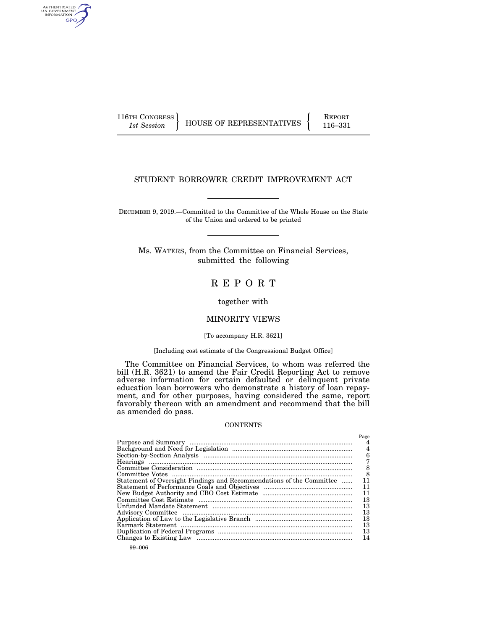AUTHENTICATED<br>U.S. GOVERNMENT<br>INFORMATION GPO

116TH CONGRESS HOUSE OF REPRESENTATIVES FEPORT 116–331

# STUDENT BORROWER CREDIT IMPROVEMENT ACT

DECEMBER 9, 2019.—Committed to the Committee of the Whole House on the State of the Union and ordered to be printed

Ms. WATERS, from the Committee on Financial Services, submitted the following

# R E P O R T

together with

## MINORITY VIEWS

[To accompany H.R. 3621]

## [Including cost estimate of the Congressional Budget Office]

The Committee on Financial Services, to whom was referred the bill (H.R. 3621) to amend the Fair Credit Reporting Act to remove adverse information for certain defaulted or delinquent private education loan borrowers who demonstrate a history of loan repayment, and for other purposes, having considered the same, report favorably thereon with an amendment and recommend that the bill as amended do pass.

## **CONTENTS**

|                                                                      | Page |
|----------------------------------------------------------------------|------|
|                                                                      | 4    |
|                                                                      | 4    |
|                                                                      | 6    |
|                                                                      |      |
|                                                                      | 8    |
|                                                                      | 8    |
| Statement of Oversight Findings and Recommendations of the Committee | 11   |
|                                                                      | 11   |
|                                                                      | 11   |
|                                                                      | 13   |
|                                                                      | 13   |
|                                                                      | 13   |
|                                                                      | 13   |
|                                                                      | 13   |
|                                                                      | 13   |
|                                                                      | 14   |
|                                                                      |      |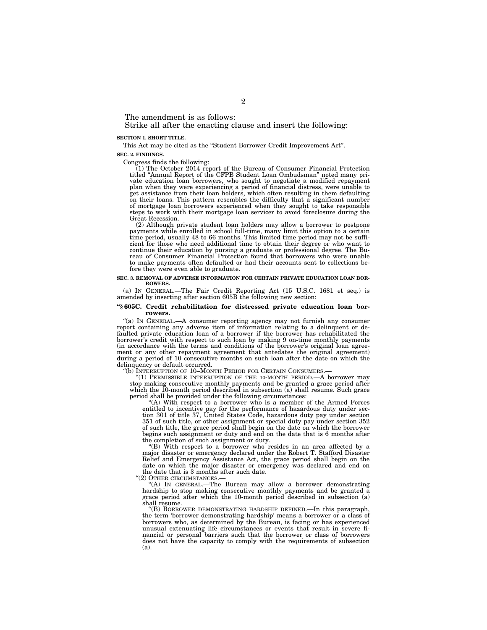The amendment is as follows:

Strike all after the enacting clause and insert the following:

#### **SECTION 1. SHORT TITLE.**

This Act may be cited as the ''Student Borrower Credit Improvement Act''. **SEC. 2. FINDINGS.** 

Congress finds the following:

(1) The October 2014 report of the Bureau of Consumer Financial Protection titled ''Annual Report of the CFPB Student Loan Ombudsman'' noted many private education loan borrowers, who sought to negotiate a modified repayment plan when they were experiencing a period of financial distress, were unable to get assistance from their loan holders, which often resulting in them defaulting on their loans. This pattern resembles the difficulty that a significant number of mortgage loan borrowers experienced when they sought to take responsible steps to work with their mortgage loan servicer to avoid foreclosure during the Great Recession.

(2) Although private student loan holders may allow a borrower to postpone payments while enrolled in school full-time, many limit this option to a certain time period, usually 48 to 66 months. This limited time period may not be sufficient for those who need additional time to obtain their degree or who want to continue their education by pursing a graduate or professional degree. The Bu-reau of Consumer Financial Protection found that borrowers who were unable to make payments often defaulted or had their accounts sent to collections before they were even able to graduate.

#### **SEC. 3. REMOVAL OF ADVERSE INFORMATION FOR CERTAIN PRIVATE EDUCATION LOAN BOR-ROWERS.**

(a) IN GENERAL.—The Fair Credit Reporting Act (15 U.S.C. 1681 et seq.) is amended by inserting after section 605B the following new section:

# **''§ 605C. Credit rehabilitation for distressed private education loan bor- rowers.**

''(a) IN GENERAL.—A consumer reporting agency may not furnish any consumer report containing any adverse item of information relating to a delinquent or defaulted private education loan of a borrower if the borrower has rehabilitated the borrower's credit with respect to such loan by making 9 on-time monthly payments (in accordance with the terms and conditions of the borrower's original loan agreement or any other repayment agreement that antedates the original agreement) during a period of 10 consecutive months on such loan after the date on which the delinquency or default occurred.<br>"(b) INTERRUPTION OF 10–MONTH PERIOD FOR CERTAIN CONSUMERS.

"(1) PERMISSIBLE INTERRUPTION OF THE 10-MONTH PERIOD.—A borrower may stop making consecutive monthly payments and be granted a grace period after which the  $10$ -month period described in subsection (a) shall resume. Such grace period shall be provided under the following circumstances:

 $(A)$  With respect to a borrower who is a member of the Armed Forces entitled to incentive pay for the performance of hazardous duty under sec-tion 301 of title 37, United States Code, hazardous duty pay under section 351 of such title, or other assignment or special duty pay under section 352 of such title, the grace period shall begin on the date on which the borrower begins such assignment or duty and end on the date that is 6 months after the completion of such assignment or duty.

''(B) With respect to a borrower who resides in an area affected by a major disaster or emergency declared under the Robert T. Stafford Disaster Relief and Emergency Assistance Act, the grace period shall begin on the date on which the major disaster or emergency was declared and end on the date that is 3 months after such date.<br>"(2) OTHER CIRCUMSTANCES.—

"(A) In GENERAL.—The Bureau may allow a borrower demonstrating hardship to stop making consecutive monthly payments and be granted a grace period after which the 10-month period described in subsection (a) shall resume.

''(B) BORROWER DEMONSTRATING HARDSHIP DEFINED.—In this paragraph, the term 'borrower demonstrating hardship' means a borrower or a class of borrowers who, as determined by the Bureau, is facing or has experienced unusual extenuating life circumstances or events that result in severe financial or personal barriers such that the borrower or class of borrowers does not have the capacity to comply with the requirements of subsection (a).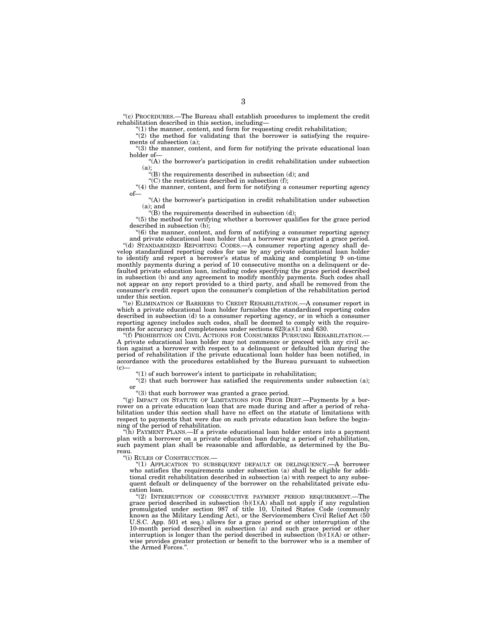''(c) PROCEDURES.—The Bureau shall establish procedures to implement the credit rehabilitation described in this section, including—

''(1) the manner, content, and form for requesting credit rehabilitation;

 $(2)$  the method for validating that the borrower is satisfying the require-

ments of subsection (a); ''(3) the manner, content, and form for notifying the private educational loan holder of—

''(A) the borrower's participation in credit rehabilitation under subsection (a);

''(B) the requirements described in subsection (d); and

 $C$ ) the restrictions described in subsection (f);

 $''(4)$  the manner, content, and form for notifying a consumer reporting agency of—

''(A) the borrower's participation in credit rehabilitation under subsection (a); and

" $(B)$  the requirements described in subsection  $(d)$ ;

''(5) the method for verifying whether a borrower qualifies for the grace period described in subsection (b);

"(6) the manner, content, and form of notifying a consumer reporting agency and private educational loan holder that a borrower was granted a grace period.

"(d) STANDARDIZED REPORTING CODES.—A consumer reporting agency shall develop standardized reporting codes for use by any private educational loan holder to identify and report a borrower's status of making and completing 9 on-time monthly payments during a period of 10 consecutive months on a delinquent or defaulted private education loan, including codes specifying the grace period described in subsection (b) and any agreement to modify monthly payments. Such codes shall not appear on any report provided to a third party, and shall be removed from the consumer's credit report upon the consumer's completion of the rehabilitation period under this section.

''(e) ELIMINATION OF BARRIERS TO CREDIT REHABILITATION.—A consumer report in which a private educational loan holder furnishes the standardized reporting codes described in subsection (d) to a consumer reporting agency, or in which a consumer reporting agency includes such codes, shall be deemed to comply with the requirements for accuracy and completeness under sections 623(a)(1) and 630.

''(f) PROHIBITION ON CIVIL ACTIONS FOR CONSUMERS PURSUING REHABILITATION.— A private educational loan holder may not commence or proceed with any civil action against a borrower with respect to a delinquent or defaulted loan during the period of rehabilitation if the private educational loan holder has been notified, in accordance with the procedures established by the Bureau pursuant to subsection  $(c)$ 

" $(1)$  of such borrower's intent to participate in rehabilitation;

" $(2)$  that such borrower has satisfied the requirements under subsection (a); or

''(3) that such borrower was granted a grace period.

" $(g)$  IMPACT ON STATUTE OF LIMITATIONS FOR PRIOR DEBT.—Payments by a borrower on a private education loan that are made during and after a period of rehabilitation under this section shall have no effect on the statute of limitations with respect to payments that were due on such private education loan before the beginning of the period of rehabilitation.

''(h) PAYMENT PLANS.—If a private educational loan holder enters into a payment plan with a borrower on a private education loan during a period of rehabilitation, such payment plan shall be reasonable and affordable, as determined by the Bureau.

''(i) RULES OF CONSTRUCTION.—

''(1) APPLICATION TO SUBSEQUENT DEFAULT OR DELINQUENCY.—A borrower who satisfies the requirements under subsection (a) shall be eligible for additional credit rehabilitation described in subsection (a) with respect to any subsequent default or delinquency of the borrower on the rehabilitated private education loan.

''(2) INTERRUPTION OF CONSECUTIVE PAYMENT PERIOD REQUIREMENT.—The grace period described in subsection  $(b)(1)(A)$  shall not apply if any regulation promulgated under section 987 of title 10, United States Code (commonly known as the Military Lending Act), or the Servicemembers Civil Relief Act (50 U.S.C. App. 501 et seq.) allows for a grace period or other interruption of the 10-month period described in subsection (a) and such grace period or other interruption is longer than the period described in subsection  $(b)(1)(A)$  or otherwise provides greater protection or benefit to the borrower who is a member of the Armed Forces.''.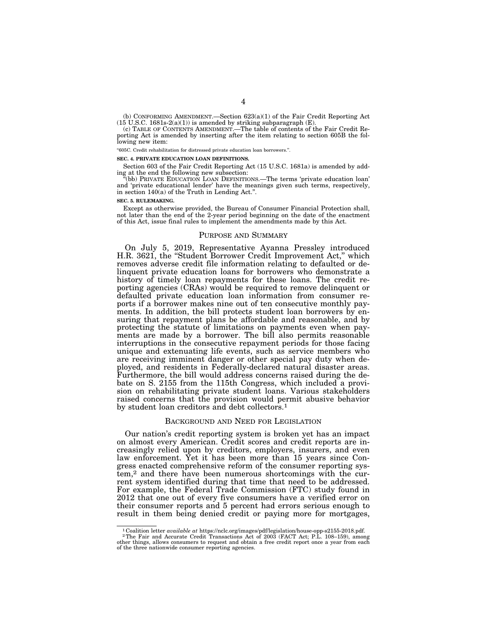(b) CONFORMING AMENDMENT.—Section 623(a)(1) of the Fair Credit Reporting Act  $(15 \text{ U.S.C. } 1681\text{s-}2(a)(1))$  is amended by striking subparagraph  $(E)$ .

(c) TABLE OF CONTENTS AMENDMENT.—The table of contents of the Fair Credit Reporting Act is amended by inserting after the item relating to section 605B the following new item:

''605C. Credit rehabilitation for distressed private education loan borrowers.''.

#### **SEC. 4. PRIVATE EDUCATION LOAN DEFINITIONS.**

Section 603 of the Fair Credit Reporting Act (15 U.S.C. 1681a) is amended by adding at the end the following new subsection:

''(bb) PRIVATE EDUCATION LOAN DEFINITIONS.—The terms 'private education loan' and 'private educational lender' have the meanings given such terms, respectively, in section 140(a) of the Truth in Lending Act.''.

#### **SEC. 5. RULEMAKING.**

Except as otherwise provided, the Bureau of Consumer Financial Protection shall, not later than the end of the 2-year period beginning on the date of the enactment of this Act, issue final rules to implement the amendments made by this Act.

#### PURPOSE AND SUMMARY

On July 5, 2019, Representative Ayanna Pressley introduced H.R. 3621, the ''Student Borrower Credit Improvement Act,'' which removes adverse credit file information relating to defaulted or delinquent private education loans for borrowers who demonstrate a history of timely loan repayments for these loans. The credit reporting agencies (CRAs) would be required to remove delinquent or defaulted private education loan information from consumer reports if a borrower makes nine out of ten consecutive monthly payments. In addition, the bill protects student loan borrowers by ensuring that repayment plans be affordable and reasonable, and by protecting the statute of limitations on payments even when payments are made by a borrower. The bill also permits reasonable interruptions in the consecutive repayment periods for those facing unique and extenuating life events, such as service members who are receiving imminent danger or other special pay duty when deployed, and residents in Federally-declared natural disaster areas. Furthermore, the bill would address concerns raised during the debate on S. 2155 from the 115th Congress, which included a provision on rehabilitating private student loans. Various stakeholders raised concerns that the provision would permit abusive behavior by student loan creditors and debt collectors.1

#### BACKGROUND AND NEED FOR LEGISLATION

Our nation's credit reporting system is broken yet has an impact on almost every American. Credit scores and credit reports are increasingly relied upon by creditors, employers, insurers, and even law enforcement. Yet it has been more than 15 years since Congress enacted comprehensive reform of the consumer reporting system,2 and there have been numerous shortcomings with the current system identified during that time that need to be addressed. For example, the Federal Trade Commission (FTC) study found in 2012 that one out of every five consumers have a verified error on their consumer reports and 5 percent had errors serious enough to result in them being denied credit or paying more for mortgages,

 $^1$  Coalition letter *available at* https://nclc.org/images/pdf/legislation/house-opp-s2155-2018.pdf.  $^2$ The Fair and Accurate Credit Transactions Act of 2003 (FACT Act; P.L. 108–159), among other things, allows consume of the three nationwide consumer reporting agencies.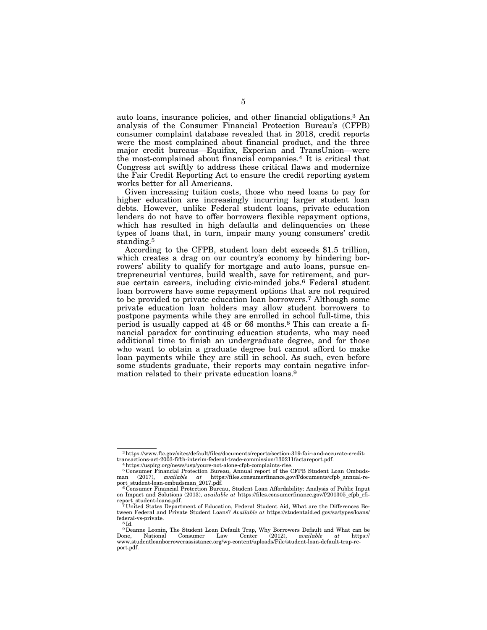auto loans, insurance policies, and other financial obligations.3 An analysis of the Consumer Financial Protection Bureau's (CFPB) consumer complaint database revealed that in 2018, credit reports were the most complained about financial product, and the three major credit bureaus—Equifax, Experian and TransUnion—were the most-complained about financial companies.4 It is critical that Congress act swiftly to address these critical flaws and modernize the Fair Credit Reporting Act to ensure the credit reporting system works better for all Americans.

Given increasing tuition costs, those who need loans to pay for higher education are increasingly incurring larger student loan debts. However, unlike Federal student loans, private education lenders do not have to offer borrowers flexible repayment options, which has resulted in high defaults and delinquencies on these types of loans that, in turn, impair many young consumers' credit standing.<sup>5</sup>

According to the CFPB, student loan debt exceeds \$1.5 trillion, which creates a drag on our country's economy by hindering borrowers' ability to qualify for mortgage and auto loans, pursue entrepreneurial ventures, build wealth, save for retirement, and pursue certain careers, including civic-minded jobs.6 Federal student loan borrowers have some repayment options that are not required to be provided to private education loan borrowers.7 Although some private education loan holders may allow student borrowers to postpone payments while they are enrolled in school full-time, this period is usually capped at 48 or 66 months.8 This can create a financial paradox for continuing education students, who may need additional time to finish an undergraduate degree, and for those who want to obtain a graduate degree but cannot afford to make loan payments while they are still in school. As such, even before some students graduate, their reports may contain negative information related to their private education loans.9

<sup>3</sup>https://www.ftc.gov/sites/default/files/documents/reports/section-319-fair-and-accurate-credittransactions-act-2003-fifth-interim-federal-trade-commission/130211factareport.pdf. 4https://uspirg.org/news/usp/youre-not-alone-cfpb-complaints-rise.

<sup>5</sup> Consumer Financial Protection Bureau, Annual report of the CFPB Student Loan Ombuds-man (2017), *available at* https://files.consumerfinance.gov/f/documents/cfpb\_annual-report\_student-loan-ombudsman\_2017.pdf. 6 Consumer Financial Protection Bureau, Student Loan Affordability: Analysis of Public Input

on Impact and Solutions (2013), *available at* https://files.consumerfinance.gov/f/201305\_cfpb\_rfireport\_student-loans.pdf. 7 United States Department of Education, Federal Student Aid, What are the Differences Be-

tween Federal and Private Student Loans? *Available at* https://studentaid.ed.gov/sa/types/loans/ federal-vs-private.<br><sup>8</sup>Id.

<sup>9</sup>Deanne Loonin, The Student Loan Default Trap, Why Borrowers Default and What can be Done, National Consumer Law Center (2012), *available at* https:// www.studentloanborrowerassistance.org/wp-content/uploads/File/student-loan-default-trap-report.pdf.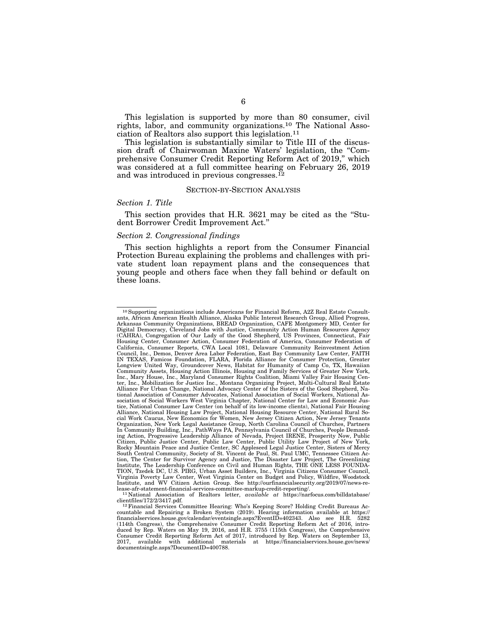This legislation is supported by more than 80 consumer, civil rights, labor, and community organizations.10 The National Association of Realtors also support this legislation.11

This legislation is substantially similar to Title III of the discussion draft of Chairwoman Maxine Waters' legislation, the ''Comprehensive Consumer Credit Reporting Reform Act of 2019," which was considered at a full committee hearing on February 26, 2019 and was introduced in previous congresses.12

#### SECTION-BY-SECTION ANALYSIS

#### *Section 1. Title*

This section provides that H.R. 3621 may be cited as the "Student Borrower Credit Improvement Act.''

## *Section 2. Congressional findings*

This section highlights a report from the Consumer Financial Protection Bureau explaining the problems and challenges with private student loan repayment plans and the consequences that young people and others face when they fall behind or default on these loans.

<sup>10</sup>Supporting organizations include Americans for Financial Reform, A2Z Real Estate Consult-ants, African American Health Alliance, Alaska Public Interest Research Group, Allied Progress, Arkansas Community Organizations, BREAD Organization, CAFE Montgomery MD, Center for Digital Democracy, Cleveland Jobs with Justice, Community Action Human Resources Agency (CAHRA), Congregation of Our Lady of the Good Shepherd, US Provinces, Connecticut, Fair Housing Center, Consumer Action, Consumer Federation of America, Consumer Federation of California, Consumer Reports, CWA Local 1081, Delaware Community Reinvestment Action Council, Inc., Demos, Denver Area Labor Federation, East Bay Community Law Center, FAITH IN TEXAS, Famicos Foundation, FLARA, Florida Alliance for Consumer Protection, Greater Longview United Way, Groundcover News, Habitat for Humanity of Camp Co, TX, Hawaiian Community Assets, Housing Action Illinois, Housing and Family Services of Greater New York, Inc., Mary House, Inc., Maryland Consumer Rights Coalition, Miami Valley Fair Housing Cen-<br>ter, Inc., Mobilization for Justice Inc., Montana Organizing Project, Multi-Cultural Real Estate<br>Alliance For Urban Change, Nationa tional Association of Consumer Advocates, National Association of Social Workers, National Association of Social Workers West Virginia Chapter, National Center for Law and Economic Jus-tice, National Consumer Law Center (on behalf of its low-income clients), National Fair Housing Alliance, National Housing Law Project, National Housing Resource Center, National Rural Social Work Caucus, New Economics for Women, New Jersey Citizen Action, New Jersey Tenants Organization, New York Legal Assistance Group, North Carolina Council of Churches, Partners In Community Building, Inc., PathWays PA, Pennsylvania Council of Churches, People Demanding Action, Progressive Leadership Alliance of Nevada, Project IRENE, Prosperity Now, Public Citizen, Public Justice Center, Public Law Center, Public Utility Law Project of New York, Rocky Mountain Peace and Justice Center, SC Appleseed Legal Justice Center, Sisters of Mercy South Central Community, Society of St. Vincent de Paul, St. Paul UMC, Tennessee Citizen Action, The Center for Survivor Agency and Justice, The Disaster Law Project, The Greenlining Institute, The Leadership Conference on Civil and Human Rights, THE ONE LESS FOUNDA-TION, Tzedek DC, U.S. PIRG, Urban Asset Builders, Inc., Virginia Citizens Consumer Council, Virginia Poverty Law Center, West Virginia Center on Budget and Policy, Wildfire, Woodstock Institute, and WV Citizen Action Group. See http://ourfinancialsecurity.org/2019/07/news-re-

 $^{11}$ National Association of Realtors letter,  $available$   $at$   $\rm https://narfocus.com/bill database/ clientfiles/172/2/3417.pdf.$ 

clientfiles/172/2/3417.pdf. 12Financial Services Committee Hearing: Who's Keeping Score? Holding Credit Bureaus Accountable and Repairing a Broken System (2019). Hearing information available at https:// financialservices.house.gov/calendar/eventsingle.aspx?EventID=402343. Also see H.R. 5282 (114th Congress), the Comprehensive Consumer Credit Reporting Reform Act of 2016, introduced by Rep. Waters on May 19, 2016, and H.R. 3755 (115th Congress), the Comprehensive Consumer Credit Reporting Reform Act of 2017, introduced by Rep. Waters on September 13, available with additional materials at https://financialservices.house.gov/news/ documentsingle.aspx?DocumentID=400788.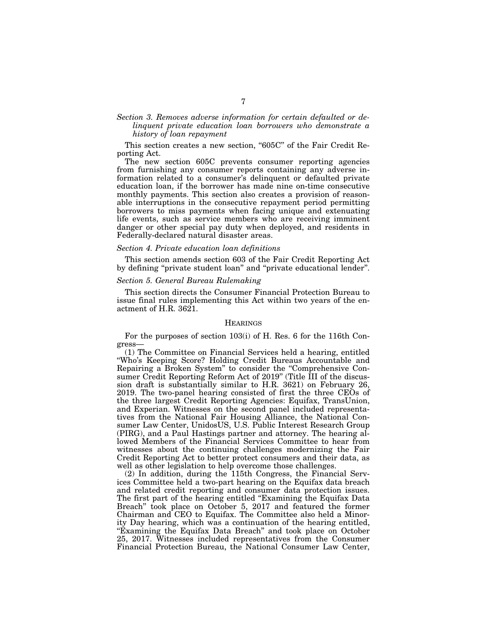## *Section 3. Removes adverse information for certain defaulted or delinquent private education loan borrowers who demonstrate a history of loan repayment*

This section creates a new section, "605C" of the Fair Credit Reporting Act.

The new section 605C prevents consumer reporting agencies from furnishing any consumer reports containing any adverse information related to a consumer's delinquent or defaulted private education loan, if the borrower has made nine on-time consecutive monthly payments. This section also creates a provision of reasonable interruptions in the consecutive repayment period permitting borrowers to miss payments when facing unique and extenuating life events, such as service members who are receiving imminent danger or other special pay duty when deployed, and residents in Federally-declared natural disaster areas.

## *Section 4. Private education loan definitions*

This section amends section 603 of the Fair Credit Reporting Act by defining "private student loan" and "private educational lender".

#### *Section 5. General Bureau Rulemaking*

This section directs the Consumer Financial Protection Bureau to issue final rules implementing this Act within two years of the enactment of H.R. 3621.

## **HEARINGS**

For the purposes of section 103(i) of H. Res. 6 for the 116th Congress—

(1) The Committee on Financial Services held a hearing, entitled ''Who's Keeping Score? Holding Credit Bureaus Accountable and Repairing a Broken System'' to consider the ''Comprehensive Consumer Credit Reporting Reform Act of 2019'' (Title III of the discussion draft is substantially similar to H.R. 3621) on February 26, 2019. The two-panel hearing consisted of first the three CEOs of the three largest Credit Reporting Agencies: Equifax, TransUnion, and Experian. Witnesses on the second panel included representatives from the National Fair Housing Alliance, the National Consumer Law Center, UnidosUS, U.S. Public Interest Research Group (PIRG), and a Paul Hastings partner and attorney. The hearing allowed Members of the Financial Services Committee to hear from witnesses about the continuing challenges modernizing the Fair Credit Reporting Act to better protect consumers and their data, as well as other legislation to help overcome those challenges.

(2) In addition, during the 115th Congress, the Financial Services Committee held a two-part hearing on the Equifax data breach and related credit reporting and consumer data protection issues. The first part of the hearing entitled "Examining the Equifax Data Breach'' took place on October 5, 2017 and featured the former Chairman and CEO to Equifax. The Committee also held a Minority Day hearing, which was a continuation of the hearing entitled, "Examining the Equifax Data Breach" and took place on October 25, 2017. Witnesses included representatives from the Consumer Financial Protection Bureau, the National Consumer Law Center,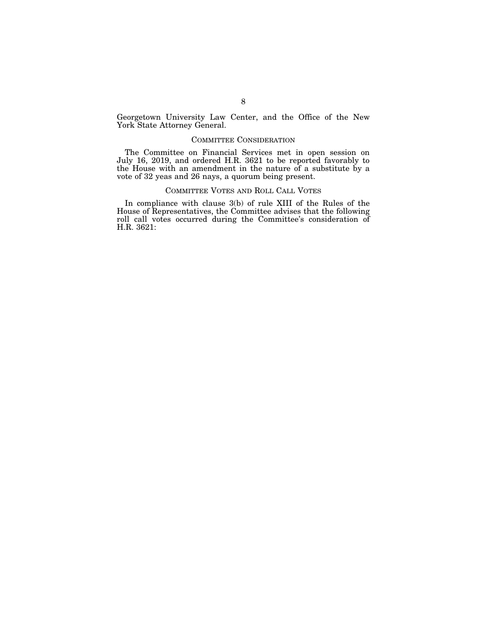Georgetown University Law Center, and the Office of the New York State Attorney General.

## COMMITTEE CONSIDERATION

The Committee on Financial Services met in open session on July 16, 2019, and ordered H.R. 3621 to be reported favorably to the House with an amendment in the nature of a substitute by a vote of 32 yeas and 26 nays, a quorum being present.

## COMMITTEE VOTES AND ROLL CALL VOTES

In compliance with clause 3(b) of rule XIII of the Rules of the House of Representatives, the Committee advises that the following roll call votes occurred during the Committee's consideration of H.R. 3621: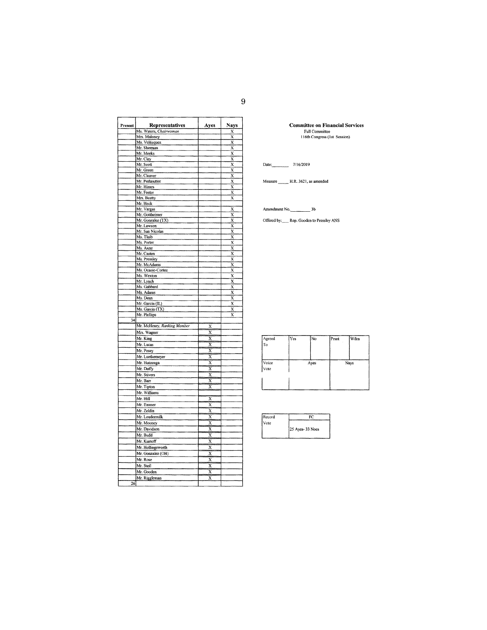| Present | Representatives             | Ayes                         | Nays                    |             |
|---------|-----------------------------|------------------------------|-------------------------|-------------|
|         | Ms. Waters, Chairwoman      |                              | X                       |             |
|         | Mrs. Maloney                |                              | x                       |             |
|         | Ms. Velázquez               |                              | x                       |             |
|         | Mr. Sherman                 |                              | X                       |             |
|         | Mr. Meeks                   |                              | X                       |             |
|         | Mr. Clay                    |                              | X                       |             |
|         | Mr. Scott                   |                              | X                       | Date:       |
|         | Mr. Green<br>Mr. Cleaver    |                              | X<br>X                  |             |
|         | Mr. Perlmutter              |                              | $\overline{\mathbf{x}}$ |             |
|         | Mr. Himes                   |                              | X                       | Measure     |
|         | Mr. Foster                  |                              | X                       |             |
|         | Mrs. Beatty                 |                              | X                       |             |
|         | Mr. Heck                    |                              |                         |             |
|         | Mr. Vargas                  |                              | x                       | Amendment N |
|         | Mr. Gottheimer              |                              | X                       |             |
|         | Mr. Gonzalez (TX)           |                              | X                       | Offered by: |
|         | Mr. Lawson                  |                              | $\overline{\mathbf{x}}$ |             |
|         | Mr. San Nicolas             |                              | X                       |             |
|         | Ms. Tlaib                   |                              | X                       |             |
|         | Ms. Porter                  |                              | X                       |             |
|         | Ms. Axne                    |                              | X                       |             |
|         | Mr. Casten                  |                              | X                       |             |
|         | Ms. Pressley                |                              | $\overline{\mathbf{x}}$ |             |
|         | Mr. McAdams                 |                              | X                       |             |
|         | Ms. Ocasio-Cortez           |                              | $\overline{\mathbf{x}}$ |             |
|         | Ms. Wexton                  |                              | X                       |             |
|         | Mr. Lynch                   |                              | X                       |             |
|         | Ms. Gabbard                 |                              | X                       |             |
|         | Ms. Adams                   |                              | X                       |             |
|         | Ms. Dean                    |                              | $\overline{\mathbf{x}}$ |             |
|         | Mr. Garcia (IL)             |                              | X                       |             |
|         | Ms. Garcia (TX)             |                              | X<br>X                  |             |
| 34      | Mr. Phillips                |                              |                         |             |
|         | Mr. McHenry, Ranking Member |                              |                         |             |
|         |                             | Х                            |                         |             |
|         | Mrs. Wagner                 | X                            |                         |             |
|         | Mr. King                    | X                            |                         | Agreed      |
|         | Mr. Lucas                   | X                            |                         | To          |
|         | Mr. Posey                   | X                            |                         |             |
|         | Mr. Luetkemeyer             | $\overline{\mathbf{x}}$      |                         |             |
|         | Mr. Huizenga                | X                            |                         | Voice       |
|         | Mr. Duffy                   | $\overline{\mathbf{x}}$      |                         | Vote        |
|         | Mr. Stivers                 | $\overline{\mathbf{x}}$      |                         |             |
|         | Mr. Barr                    | X                            |                         |             |
|         | Mr. Tipton                  | X                            |                         |             |
|         | Mr. Williams                |                              |                         |             |
|         | Mr. Hill                    | $\overline{\mathbf{x}}$      |                         |             |
|         | Mr. Emmer                   | X                            |                         |             |
|         | Mr. Zeldin                  | $\overline{\mathbf{x}}$      |                         |             |
|         | Mr. Loudermilk              | X                            |                         | Record      |
|         | Mr. Mooney                  | X                            |                         | Vote        |
|         | Mr. Davidson                | X                            |                         |             |
|         | Mr. Budd                    | X                            |                         |             |
|         | Mr. Kustoff                 | X                            |                         |             |
|         |                             |                              |                         |             |
|         | Mr. Hollingsworth           | х                            |                         |             |
|         | Mr. Gonzalez (OH)           | X                            |                         |             |
|         |                             |                              |                         |             |
|         | Mr. Rose                    | X                            |                         |             |
|         | Mr. Steil                   | X                            |                         |             |
|         | Mr. Gooden<br>Mr. Riggleman | х<br>$\overline{\mathbf{x}}$ |                         |             |

**Committee on Financial Services**  Full Committee I 16th Congress (1st Session)

## Date: 7/16/2019

Measure \_\_\_\_\_ H.R. 3621, as amended

Amendment No. 3b

Offered by:\_ Rep. Gooden to Pressley ANS

| Agreed | Yes] | [No | Prsnt | Wdrn |
|--------|------|-----|-------|------|
| łТo    |      |     |       |      |
|        |      |     |       |      |
|        |      |     |       |      |
| Voice  | Ayes |     | Nays  |      |
| Vote   |      |     |       |      |

| <b>Record</b> |                 |
|---------------|-----------------|
| Vote          |                 |
|               | 25 Ayes-33 Noes |
|               |                 |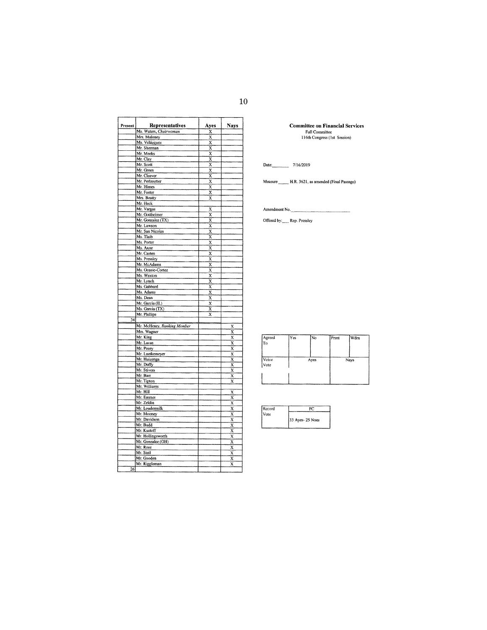| Present | Representatives                        | Ayes                         | Nays                    |
|---------|----------------------------------------|------------------------------|-------------------------|
|         | Ms. Waters, Chairwoman<br>Mrs. Maloney | X<br>$\overline{\mathbf{x}}$ |                         |
|         | Ms. Velázquez                          | $\bar{\mathbf{x}}$           |                         |
|         | Mr. Sherman                            | X                            |                         |
|         | Mr. Meeks                              | x                            |                         |
|         | Mr. Clay                               | X                            |                         |
|         | Mr. Scott                              | X                            |                         |
|         | Mr. Green                              | X                            |                         |
|         | Mr. Cleaver                            | X                            |                         |
|         | Mr. Perimutter                         | X                            |                         |
|         | Mr. Himes                              | X                            |                         |
|         | Mr. Foster                             | X                            |                         |
|         | Mrs. Beatty                            | X                            |                         |
|         | Mr. Heck                               |                              |                         |
|         | Mr. Vargas                             | X                            |                         |
|         | Mr. Gottheimer                         | X                            |                         |
|         | Mr. Gonzalez (TX)                      | X                            |                         |
|         | Mr. Lawson                             | X                            |                         |
|         | Mr. San Nicolas                        | X                            |                         |
|         | Ms. Tlaib                              | X                            |                         |
|         | Ms. Porter                             | X                            |                         |
|         | Ms. Axne                               | X                            |                         |
|         | Mr. Casten                             | X                            |                         |
|         | Ms. Pressley                           | X                            |                         |
|         | Mr. McAdams                            | X                            |                         |
|         | Ms. Ocasio-Cortez<br>Ms. Wexton        | X                            |                         |
|         |                                        | X                            |                         |
|         | Mr. Lynch<br>Ms. Gabbard               | X<br>x                       |                         |
|         | Ms. Adams                              | X                            |                         |
|         | Ms. Dean                               | X                            |                         |
|         | Mr. Garcia (IL)                        | x                            |                         |
|         | Ms. Garcia (TX)                        | X                            |                         |
|         | Mr. Phillips                           | X                            |                         |
| 34      |                                        |                              |                         |
|         | Mr. McHenry, Ranking Member            |                              | X                       |
|         | Mrs. Wagner                            |                              | $\bar{\mathbf{x}}$      |
|         | Mr. King                               |                              | $\overline{\mathbf{x}}$ |
|         | Mr. Lucas                              |                              | $\overline{\text{x}}$   |
|         | Mr. Posey                              |                              | $\overline{\mathbf{x}}$ |
|         | Mr. Luetkemeyer                        |                              | X                       |
|         | Mr. Huizenga                           |                              | $\overline{\mathbf{x}}$ |
|         | Mr. Duffy                              |                              | X                       |
|         | Mr. Stivers                            |                              | X                       |
|         | Mr. Barr                               |                              | $\bar{\mathbf{x}}$      |
|         | Mr. Tipton                             |                              | X                       |
|         | Mr. Williams                           |                              |                         |
|         | Mr. Hill                               |                              | X                       |
|         | Mr. Emmer                              |                              | $\overline{x}$          |
|         | Mr. Zeldin                             |                              | X                       |
|         | Mr. Loudennilk                         |                              | X                       |
|         | Mr. Mooney                             |                              | $\bar{\mathbf{x}}$      |
|         | Mr. Davidson                           |                              | X                       |
|         | Mr. Budd                               |                              | $\overline{\mathbf{x}}$ |
|         | Mr. Kustoff                            |                              | $\overline{\mathbf{x}}$ |
|         | Mr. Hollingsworth                      |                              | X                       |
|         | Mr. Gonzalez (OH)                      |                              | $\overline{\mathbf{x}}$ |
|         | Mr. Rose                               |                              | $\bf{x}$                |
|         | Mr. Steil                              |                              | X                       |
|         | Mr. Gooden                             |                              | $\bar{\mathrm{x}}$      |
|         | Mr. Riggleman                          |                              | X                       |
| 26      |                                        |                              |                         |

**Committee on Financial Services**<br>
Full Committee<br>
116th Congress (1st Session)

## Date: 7/16/2019

Measure \_\_ H.R. 3621, as amended (Final Passage)

Amendment No.

Offered by:\_ Rep. Pressley

| Agreed<br>To  | Yes] | l No | Prsnt | Wdm  |
|---------------|------|------|-------|------|
| Voice<br>Vote |      | Ayes |       | Nays |

| Record |                  |
|--------|------------------|
| Vote   |                  |
|        | 33 Ayes- 25 Noes |
|        |                  |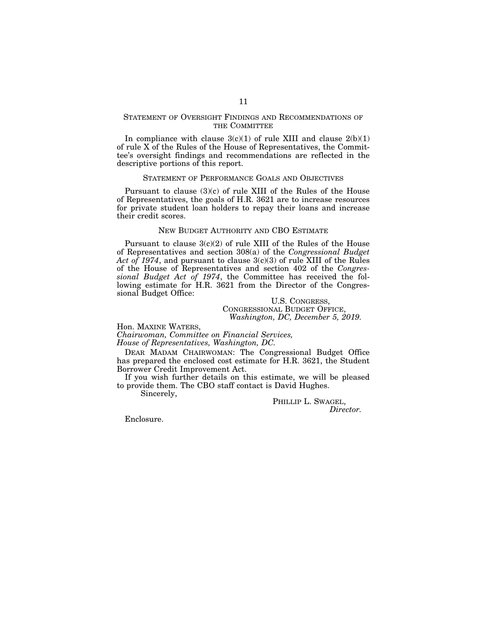## STATEMENT OF OVERSIGHT FINDINGS AND RECOMMENDATIONS OF THE COMMITTEE

In compliance with clause  $3(c)(1)$  of rule XIII and clause  $2(b)(1)$ of rule X of the Rules of the House of Representatives, the Committee's oversight findings and recommendations are reflected in the descriptive portions of this report.

#### STATEMENT OF PERFORMANCE GOALS AND OBJECTIVES

Pursuant to clause  $(3)(c)$  of rule XIII of the Rules of the House of Representatives, the goals of H.R. 3621 are to increase resources for private student loan holders to repay their loans and increase their credit scores.

#### NEW BUDGET AUTHORITY AND CBO ESTIMATE

Pursuant to clause  $3(c)(2)$  of rule XIII of the Rules of the House of Representatives and section 308(a) of the *Congressional Budget Act of 1974*, and pursuant to clause 3(c)(3) of rule XIII of the Rules of the House of Representatives and section 402 of the *Congressional Budget Act of 1974*, the Committee has received the following estimate for H.R. 3621 from the Director of the Congressional Budget Office:

## U.S. CONGRESS, CONGRESSIONAL BUDGET OFFICE, *Washington, DC, December 5, 2019.*

Hon. MAXINE WATERS, *Chairwoman, Committee on Financial Services, House of Representatives, Washington, DC.* 

DEAR MADAM CHAIRWOMAN: The Congressional Budget Office has prepared the enclosed cost estimate for H.R. 3621, the Student Borrower Credit Improvement Act.

If you wish further details on this estimate, we will be pleased to provide them. The CBO staff contact is David Hughes.

Sincerely,

PHILLIP L. SWAGEL, *Director.* 

Enclosure.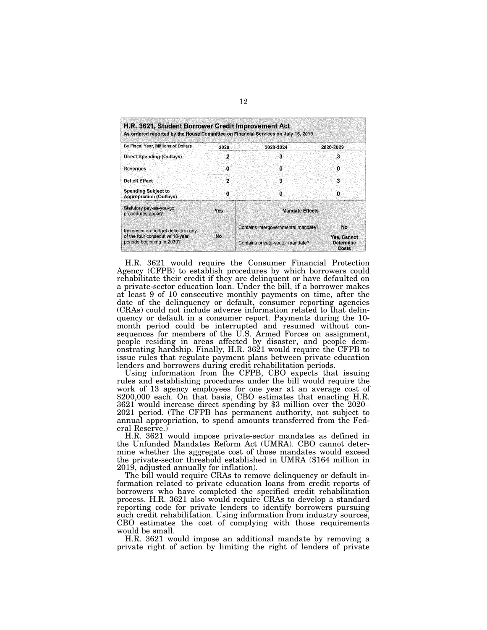| By Fiscal Year, Millions of Dollars                           | 2020   | 2020-2024                           | 2020-2029                                       |
|---------------------------------------------------------------|--------|-------------------------------------|-------------------------------------------------|
| Direct Spending (Outlays)                                     | 2      | 3.                                  | 3                                               |
| <b>Revenues</b>                                               | 0      | 0                                   | 0                                               |
| <b>Deficit Effect</b>                                         | A<br>2 |                                     | з                                               |
| <b>Spending Subject to</b><br><b>Appropriation (Outlays)</b>  | Ð      | 0                                   | o                                               |
| Statutory pay-as-you-go<br>procedures apply?                  | Yes    | <b>Mandate Effects</b>              |                                                 |
| Increases on-budget deficits in any                           |        | Contains intergovernmental mandate? | No                                              |
| of the four consecutive 10-year<br>periods beginning in 2030? | No     | Contains private-sector mandate?    | Yes, Cannot<br><b>Determine</b><br><b>Costs</b> |

H.R. 3621 would require the Consumer Financial Protection Agency (CFPB) to establish procedures by which borrowers could rehabilitate their credit if they are delinquent or have defaulted on a private-sector education loan. Under the bill, if a borrower makes at least 9 of 10 consecutive monthly payments on time, after the date of the delinquency or default, consumer reporting agencies (CRAs) could not include adverse information related to that delinquency or default in a consumer report. Payments during the 10 month period could be interrupted and resumed without consequences for members of the U.S. Armed Forces on assignment, people residing in areas affected by disaster, and people demonstrating hardship. Finally, H.R. 3621 would require the CFPB to issue rules that regulate payment plans between private education lenders and borrowers during credit rehabilitation periods.

Using information from the CFPB, CBO expects that issuing rules and establishing procedures under the bill would require the work of 13 agency employees for one year at an average cost of \$200,000 each. On that basis, CBO estimates that enacting H.R. 3621 would increase direct spending by \$3 million over the 2020– 2021 period. (The CFPB has permanent authority, not subject to annual appropriation, to spend amounts transferred from the Federal Reserve.)

H.R. 3621 would impose private-sector mandates as defined in the Unfunded Mandates Reform Act (UMRA). CBO cannot determine whether the aggregate cost of those mandates would exceed the private-sector threshold established in UMRA (\$164 million in 2019, adjusted annually for inflation).

The bill would require CRAs to remove delinquency or default information related to private education loans from credit reports of borrowers who have completed the specified credit rehabilitation process. H.R. 3621 also would require CRAs to develop a standard reporting code for private lenders to identify borrowers pursuing such credit rehabilitation. Using information from industry sources, CBO estimates the cost of complying with those requirements would be small.

H.R. 3621 would impose an additional mandate by removing a private right of action by limiting the right of lenders of private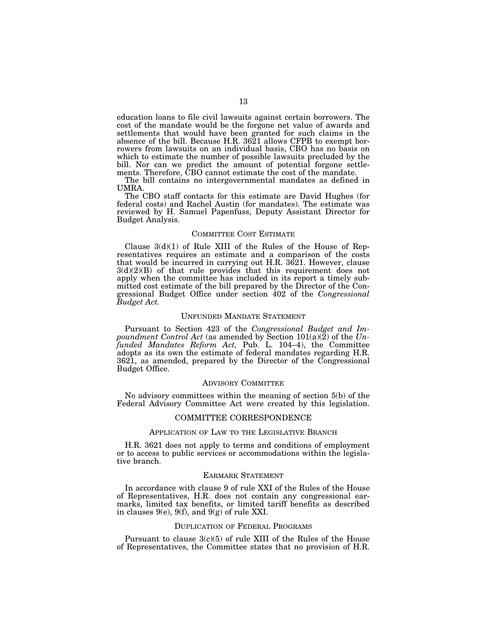education loans to file civil lawsuits against certain borrowers. The cost of the mandate would be the forgone net value of awards and settlements that would have been granted for such claims in the absence of the bill. Because H.R. 3621 allows CFPB to exempt borrowers from lawsuits on an individual basis, CBO has no basis on which to estimate the number of possible lawsuits precluded by the bill. Nor can we predict the amount of potential forgone settlements. Therefore, CBO cannot estimate the cost of the mandate.

The bill contains no intergovernmental mandates as defined in UMRA.

The CBO staff contacts for this estimate are David Hughes (for federal costs) and Rachel Austin (for mandates). The estimate was reviewed by H. Samuel Papenfuss, Deputy Assistant Director for Budget Analysis.

#### COMMITTEE COST ESTIMATE

Clause  $3(d)(1)$  of Rule XIII of the Rules of the House of Representatives requires an estimate and a comparison of the costs that would be incurred in carrying out H.R. 3621. However, clause  $3(d)(2)(B)$  of that rule provides that this requirement does not apply when the committee has included in its report a timely submitted cost estimate of the bill prepared by the Director of the Congressional Budget Office under section 402 of the *Congressional Budget Act.* 

#### UNFUNDED MANDATE STATEMENT

Pursuant to Section 423 of the *Congressional Budget and Impoundment Control Act* (as amended by Section 101(a)(2) of the *Unfunded Mandates Reform Act,* Pub. L. 104–4), the Committee adopts as its own the estimate of federal mandates regarding H.R. 3621, as amended, prepared by the Director of the Congressional Budget Office.

#### ADVISORY COMMITTEE

No advisory committees within the meaning of section 5(b) of the Federal Advisory Committee Act were created by this legislation.

#### COMMITTEE CORRESPONDENCE

#### APPLICATION OF LAW TO THE LEGISLATIVE BRANCH

H.R. 3621 does not apply to terms and conditions of employment or to access to public services or accommodations within the legislative branch.

## EARMARK STATEMENT

In accordance with clause 9 of rule XXI of the Rules of the House of Representatives, H.R. does not contain any congressional earmarks, limited tax benefits, or limited tariff benefits as described in clauses  $9(e)$ ,  $9(f)$ , and  $9(g)$  of rule XXI.

#### DUPLICATION OF FEDERAL PROGRAMS

Pursuant to clause  $3(c)(5)$  of rule XIII of the Rules of the House of Representatives, the Committee states that no provision of H.R.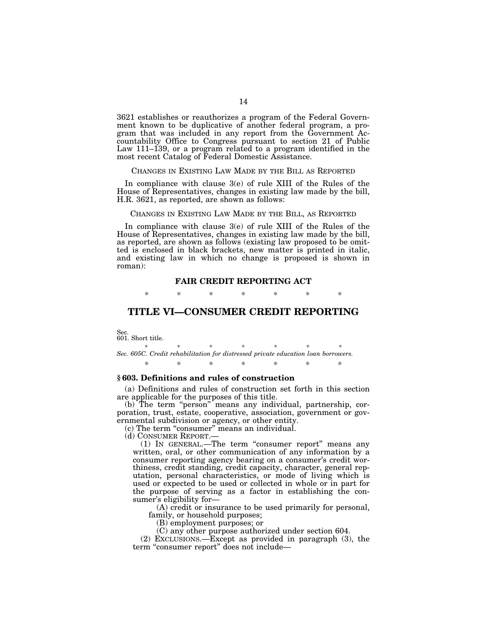3621 establishes or reauthorizes a program of the Federal Government known to be duplicative of another federal program, a program that was included in any report from the Government Accountability Office to Congress pursuant to section 21 of Public Law 111–139, or a program related to a program identified in the most recent Catalog of Federal Domestic Assistance.

## CHANGES IN EXISTING LAW MADE BY THE BILL AS REPORTED

In compliance with clause 3(e) of rule XIII of the Rules of the House of Representatives, changes in existing law made by the bill, H.R. 3621, as reported, are shown as follows:

#### CHANGES IN EXISTING LAW MADE BY THE BILL, AS REPORTED

In compliance with clause 3(e) of rule XIII of the Rules of the House of Representatives, changes in existing law made by the bill, as reported, are shown as follows (existing law proposed to be omitted is enclosed in black brackets, new matter is printed in italic, and existing law in which no change is proposed is shown in roman):

## **FAIR CREDIT REPORTING ACT**

\* \* \* \* \* \* \*

# **TITLE VI—CONSUMER CREDIT REPORTING**

Sec. 601. Short title.

\* \* \* \* \* \* \* *Sec. 605C. Credit rehabilitation for distressed private education loan borrowers.*  \* \* \* \* \* \* \*

## **§ 603. Definitions and rules of construction**

(a) Definitions and rules of construction set forth in this section are applicable for the purposes of this title.

(b) The term ''person'' means any individual, partnership, corporation, trust, estate, cooperative, association, government or governmental subdivision or agency, or other entity.

(c) The term "consumer" means an individual.

(d) CONSUMER REPORT.— (1) IN GENERAL.—The term ''consumer report'' means any written, oral, or other communication of any information by a consumer reporting agency bearing on a consumer's credit worthiness, credit standing, credit capacity, character, general reputation, personal characteristics, or mode of living which is used or expected to be used or collected in whole or in part for the purpose of serving as a factor in establishing the consumer's eligibility for—

(A) credit or insurance to be used primarily for personal,

family, or household purposes;

(B) employment purposes; or

(C) any other purpose authorized under section 604.

(2) EXCLUSIONS.—Except as provided in paragraph (3), the term "consumer report" does not include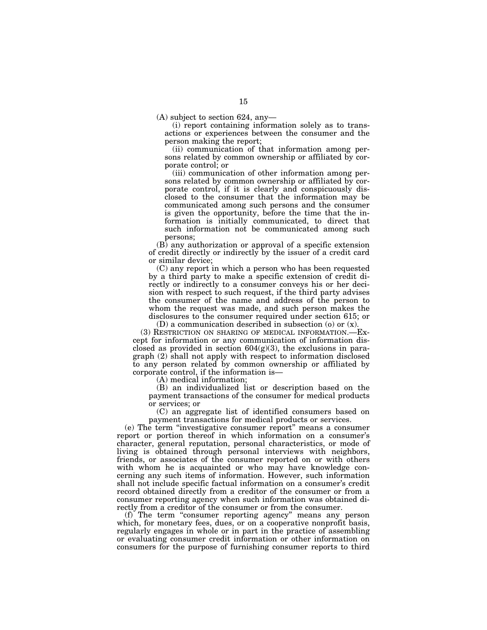(A) subject to section 624, any—

(i) report containing information solely as to transactions or experiences between the consumer and the person making the report;

(ii) communication of that information among persons related by common ownership or affiliated by corporate control; or

(iii) communication of other information among persons related by common ownership or affiliated by corporate control, if it is clearly and conspicuously disclosed to the consumer that the information may be communicated among such persons and the consumer is given the opportunity, before the time that the information is initially communicated, to direct that such information not be communicated among such persons;

(B) any authorization or approval of a specific extension of credit directly or indirectly by the issuer of a credit card or similar device;

(C) any report in which a person who has been requested by a third party to make a specific extension of credit directly or indirectly to a consumer conveys his or her decision with respect to such request, if the third party advises the consumer of the name and address of the person to whom the request was made, and such person makes the disclosures to the consumer required under section 615; or

(D) a communication described in subsection (o) or (x).

(3) RESTRICTION ON SHARING OF MEDICAL INFORMATION.—Except for information or any communication of information disclosed as provided in section  $604(g)(3)$ , the exclusions in paragraph (2) shall not apply with respect to information disclosed to any person related by common ownership or affiliated by corporate control, if the information is—

(A) medical information;

(B) an individualized list or description based on the payment transactions of the consumer for medical products or services; or

(C) an aggregate list of identified consumers based on payment transactions for medical products or services.

(e) The term ''investigative consumer report'' means a consumer report or portion thereof in which information on a consumer's character, general reputation, personal characteristics, or mode of living is obtained through personal interviews with neighbors, friends, or associates of the consumer reported on or with others with whom he is acquainted or who may have knowledge concerning any such items of information. However, such information shall not include specific factual information on a consumer's credit record obtained directly from a creditor of the consumer or from a consumer reporting agency when such information was obtained directly from a creditor of the consumer or from the consumer.

(f) The term ''consumer reporting agency'' means any person which, for monetary fees, dues, or on a cooperative nonprofit basis, regularly engages in whole or in part in the practice of assembling or evaluating consumer credit information or other information on consumers for the purpose of furnishing consumer reports to third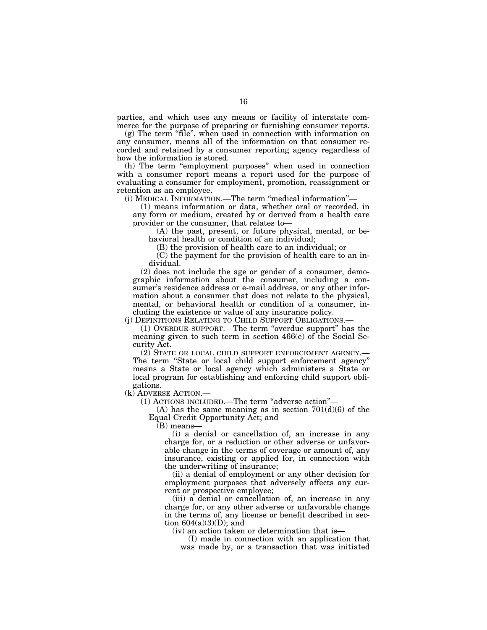parties, and which uses any means or facility of interstate commerce for the purpose of preparing or furnishing consumer reports.

(g) The term ''file'', when used in connection with information on any consumer, means all of the information on that consumer recorded and retained by a consumer reporting agency regardless of how the information is stored.

(h) The term ''employment purposes'' when used in connection with a consumer report means a report used for the purpose of evaluating a consumer for employment, promotion, reassignment or retention as an employee.

(i) MEDICAL INFORMATION.—The term ''medical information''—

(1) means information or data, whether oral or recorded, in any form or medium, created by or derived from a health care provider or the consumer, that relates to—

(A) the past, present, or future physical, mental, or behavioral health or condition of an individual;

(B) the provision of health care to an individual; or

(C) the payment for the provision of health care to an individual.

(2) does not include the age or gender of a consumer, demographic information about the consumer, including a consumer's residence address or e-mail address, or any other information about a consumer that does not relate to the physical, mental, or behavioral health or condition of a consumer, including the existence or value of any insurance policy.

(j) DEFINITIONS RELATING TO CHILD SUPPORT OBLIGATIONS.—

(1) OVERDUE SUPPORT.—The term ''overdue support'' has the meaning given to such term in section 466(e) of the Social Security Act.

(2) STATE OR LOCAL CHILD SUPPORT ENFORCEMENT AGENCY.— The term "State or local child support enforcement agency" means a State or local agency which administers a State or local program for establishing and enforcing child support obligations.

(k) ADVERSE ACTION.—

(1) ACTIONS INCLUDED.—The term ''adverse action''—

(A) has the same meaning as in section  $701(d)(6)$  of the Equal Credit Opportunity Act; and

(B) means—

(i) a denial or cancellation of, an increase in any charge for, or a reduction or other adverse or unfavorable change in the terms of coverage or amount of, any insurance, existing or applied for, in connection with the underwriting of insurance;

(ii) a denial of employment or any other decision for employment purposes that adversely affects any current or prospective employee;

(iii) a denial or cancellation of, an increase in any charge for, or any other adverse or unfavorable change in the terms of, any license or benefit described in section  $604(a)(3)(D)$ ; and

(iv) an action taken or determination that is—

(I) made in connection with an application that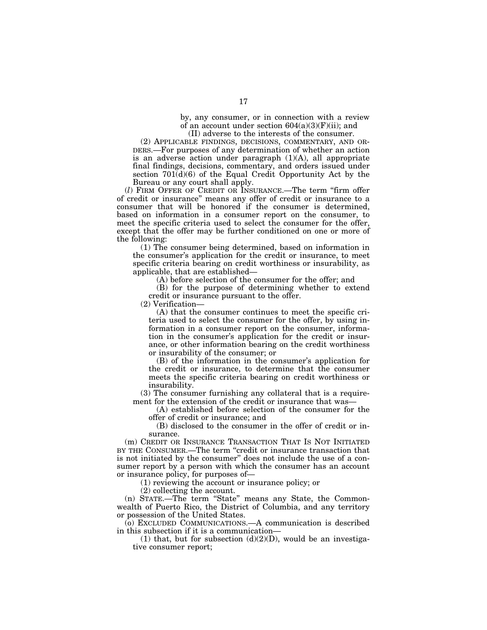by, any consumer, or in connection with a review of an account under section  $604(a)(3)(F)(ii)$ ; and

(II) adverse to the interests of the consumer. (2) APPLICABLE FINDINGS, DECISIONS, COMMENTARY, AND OR-

DERS.—For purposes of any determination of whether an action is an adverse action under paragraph  $(1)(A)$ , all appropriate final findings, decisions, commentary, and orders issued under section  $701\overline{(d)}(6)$  of the Equal Credit Opportunity Act by the Bureau or any court shall apply.

(*l*) FIRM OFFER OF CREDIT OR INSURANCE.—The term ''firm offer of credit or insurance'' means any offer of credit or insurance to a consumer that will be honored if the consumer is determined, based on information in a consumer report on the consumer, to meet the specific criteria used to select the consumer for the offer, except that the offer may be further conditioned on one or more of the following:

(1) The consumer being determined, based on information in the consumer's application for the credit or insurance, to meet specific criteria bearing on credit worthiness or insurability, as applicable, that are established—

(A) before selection of the consumer for the offer; and

(B) for the purpose of determining whether to extend credit or insurance pursuant to the offer.

(2) Verification—

(A) that the consumer continues to meet the specific criteria used to select the consumer for the offer, by using information in a consumer report on the consumer, information in the consumer's application for the credit or insurance, or other information bearing on the credit worthiness or insurability of the consumer; or

(B) of the information in the consumer's application for the credit or insurance, to determine that the consumer meets the specific criteria bearing on credit worthiness or insurability.

(3) The consumer furnishing any collateral that is a requirement for the extension of the credit or insurance that was-

(A) established before selection of the consumer for the offer of credit or insurance; and

(B) disclosed to the consumer in the offer of credit or insurance.

(m) CREDIT OR INSURANCE TRANSACTION THAT IS NOT INITIATED BY THE CONSUMER.—The term "credit or insurance transaction that is not initiated by the consumer'' does not include the use of a consumer report by a person with which the consumer has an account or insurance policy, for purposes of—

(1) reviewing the account or insurance policy; or

(2) collecting the account.

(n) STATE.—The term ''State'' means any State, the Commonwealth of Puerto Rico, the District of Columbia, and any territory or possession of the United States.

(o) EXCLUDED COMMUNICATIONS.—A communication is described in this subsection if it is a communication—

(1) that, but for subsection  $(d)(2)(D)$ , would be an investigative consumer report;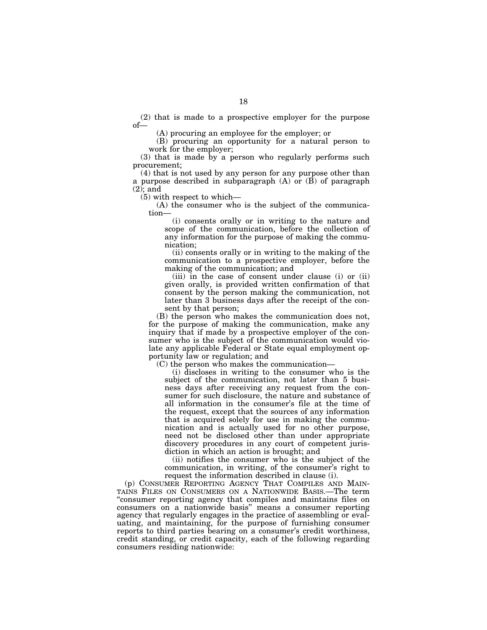(2) that is made to a prospective employer for the purpose of—

(A) procuring an employee for the employer; or

(B) procuring an opportunity for a natural person to work for the employer;

(3) that is made by a person who regularly performs such procurement;

(4) that is not used by any person for any purpose other than a purpose described in subparagraph  $(A)$  or  $(B)$  of paragraph (2); and

(5) with respect to which—

(A) the consumer who is the subject of the communication—

(i) consents orally or in writing to the nature and scope of the communication, before the collection of any information for the purpose of making the communication;

(ii) consents orally or in writing to the making of the communication to a prospective employer, before the making of the communication; and

(iii) in the case of consent under clause (i) or (ii) given orally, is provided written confirmation of that consent by the person making the communication, not later than 3 business days after the receipt of the consent by that person;

(B) the person who makes the communication does not, for the purpose of making the communication, make any inquiry that if made by a prospective employer of the consumer who is the subject of the communication would violate any applicable Federal or State equal employment opportunity law or regulation; and

(C) the person who makes the communication—

(i) discloses in writing to the consumer who is the subject of the communication, not later than 5 business days after receiving any request from the consumer for such disclosure, the nature and substance of all information in the consumer's file at the time of the request, except that the sources of any information that is acquired solely for use in making the communication and is actually used for no other purpose, need not be disclosed other than under appropriate discovery procedures in any court of competent jurisdiction in which an action is brought; and

(ii) notifies the consumer who is the subject of the communication, in writing, of the consumer's right to request the information described in clause (i).

(p) CONSUMER REPORTING AGENCY THAT COMPILES AND MAIN- TAINS FILES ON CONSUMERS ON A NATIONWIDE BASIS.—The term ''consumer reporting agency that compiles and maintains files on consumers on a nationwide basis'' means a consumer reporting agency that regularly engages in the practice of assembling or evaluating, and maintaining, for the purpose of furnishing consumer reports to third parties bearing on a consumer's credit worthiness, credit standing, or credit capacity, each of the following regarding consumers residing nationwide: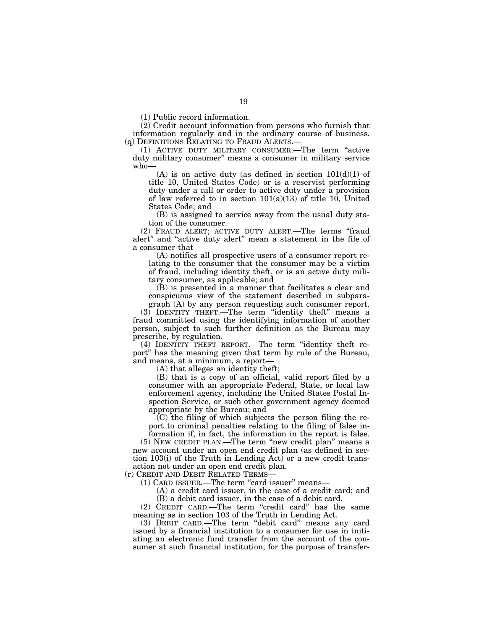(1) Public record information.

(2) Credit account information from persons who furnish that information regularly and in the ordinary course of business. (q) DEFINITIONS RELATING TO FRAUD ALERTS.—

(1) ACTIVE DUTY MILITARY CONSUMER.—The term ''active duty military consumer'' means a consumer in military service who—

(A) is on active duty (as defined in section  $101(d)(1)$  of title 10, United States Code) or is a reservist performing duty under a call or order to active duty under a provision of law referred to in section  $101(a)(13)$  of title 10, United States Code; and

(B) is assigned to service away from the usual duty station of the consumer.

(2) FRAUD ALERT; ACTIVE DUTY ALERT.—The terms ''fraud alert'' and ''active duty alert'' mean a statement in the file of a consumer that—

(A) notifies all prospective users of a consumer report relating to the consumer that the consumer may be a victim of fraud, including identity theft, or is an active duty military consumer, as applicable; and

(B) is presented in a manner that facilitates a clear and conspicuous view of the statement described in subpara-

graph (A) by any person requesting such consumer report. (3) IDENTITY THEFT.—The term ''identity theft'' means a fraud committed using the identifying information of another person, subject to such further definition as the Bureau may prescribe, by regulation.

(4) IDENTITY THEFT REPORT.—The term ''identity theft report'' has the meaning given that term by rule of the Bureau, and means, at a minimum, a report—

(A) that alleges an identity theft;

(B) that is a copy of an official, valid report filed by a consumer with an appropriate Federal, State, or local law enforcement agency, including the United States Postal Inspection Service, or such other government agency deemed appropriate by the Bureau; and

(C) the filing of which subjects the person filing the report to criminal penalties relating to the filing of false information if, in fact, the information in the report is false.

(5) NEW CREDIT PLAN.—The term ''new credit plan'' means a new account under an open end credit plan (as defined in section 103(i) of the Truth in Lending Act) or a new credit transaction not under an open end credit plan.

(r) CREDIT AND DEBIT RELATED TERMS—

(1) CARD ISSUER.—The term "card issuer" means—

(A) a credit card issuer, in the case of a credit card; and (B) a debit card issuer, in the case of a debit card.

(2) CREDIT CARD.—The term "credit card" has the same meaning as in section 103 of the Truth in Lending Act.

(3) DEBIT CARD.—The term ''debit card'' means any card issued by a financial institution to a consumer for use in initiating an electronic fund transfer from the account of the consumer at such financial institution, for the purpose of transfer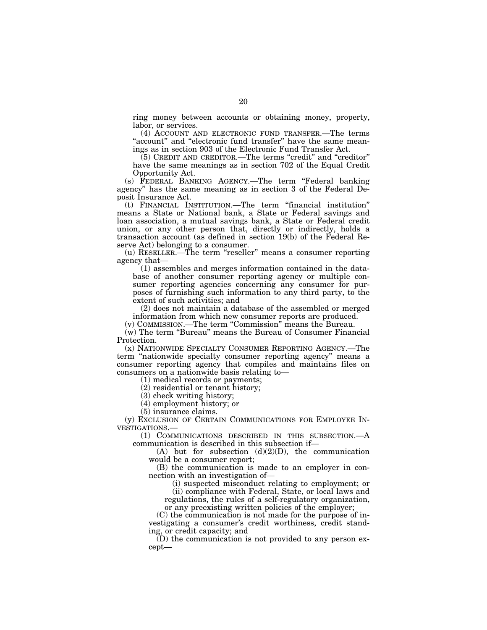ring money between accounts or obtaining money, property, labor, or services.

(4) ACCOUNT AND ELECTRONIC FUND TRANSFER.—The terms "account" and "electronic fund transfer" have the same meanings as in section 903 of the Electronic Fund Transfer Act.

(5) CREDIT AND CREDITOR.—The terms ''credit'' and ''creditor'' have the same meanings as in section 702 of the Equal Credit Opportunity Act.

(s) FEDERAL BANKING AGENCY.—The term ''Federal banking agency'' has the same meaning as in section 3 of the Federal Deposit Insurance Act.

(t) FINANCIAL INSTITUTION.—The term ''financial institution'' means a State or National bank, a State or Federal savings and loan association, a mutual savings bank, a State or Federal credit union, or any other person that, directly or indirectly, holds a transaction account (as defined in section 19(b) of the Federal Reserve Act) belonging to a consumer.

(u) RESELLER.—The term ''reseller'' means a consumer reporting agency that—

(1) assembles and merges information contained in the database of another consumer reporting agency or multiple consumer reporting agencies concerning any consumer for purposes of furnishing such information to any third party, to the extent of such activities; and

(2) does not maintain a database of the assembled or merged information from which new consumer reports are produced.

(v) COMMISSION.—The term ''Commission'' means the Bureau.

(w) The term ''Bureau'' means the Bureau of Consumer Financial Protection.

(x) NATIONWIDE SPECIALTY CONSUMER REPORTING AGENCY.—The term ''nationwide specialty consumer reporting agency'' means a consumer reporting agency that compiles and maintains files on consumers on a nationwide basis relating to—

(1) medical records or payments;

(2) residential or tenant history;

(3) check writing history;

(4) employment history; or

(5) insurance claims.

(y) EXCLUSION OF CERTAIN COMMUNICATIONS FOR EMPLOYEE INVESTIGATIONS.—

(1) COMMUNICATIONS DESCRIBED IN THIS SUBSECTION.—A communication is described in this subsection if—

(A) but for subsection  $(d)(2)(D)$ , the communication would be a consumer report;

(B) the communication is made to an employer in connection with an investigation of—

(i) suspected misconduct relating to employment; or

(ii) compliance with Federal, State, or local laws and regulations, the rules of a self-regulatory organization, or any preexisting written policies of the employer;

(C) the communication is not made for the purpose of investigating a consumer's credit worthiness, credit standing, or credit capacity; and

(D) the communication is not provided to any person except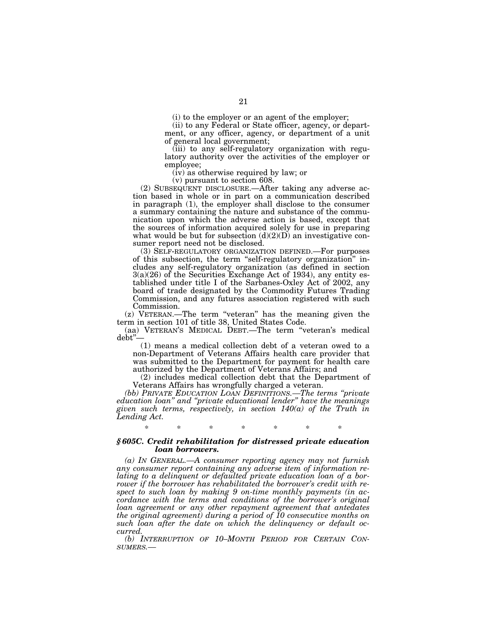(i) to the employer or an agent of the employer;

(ii) to any Federal or State officer, agency, or department, or any officer, agency, or department of a unit of general local government;

(iii) to any self-regulatory organization with regulatory authority over the activities of the employer or employee;

(iv) as otherwise required by law; or

(v) pursuant to section 608.

(2) SUBSEQUENT DISCLOSURE.—After taking any adverse action based in whole or in part on a communication described in paragraph (1), the employer shall disclose to the consumer a summary containing the nature and substance of the communication upon which the adverse action is based, except that the sources of information acquired solely for use in preparing what would be but for subsection  $(d)(2)(D)$  an investigative consumer report need not be disclosed.

(3) SELF-REGULATORY ORGANIZATION DEFINED.—For purposes of this subsection, the term ''self-regulatory organization'' includes any self-regulatory organization (as defined in section  $3(a)(26)$  of the Securities Exchange Act of 1934), any entity established under title I of the Sarbanes-Oxley Act of 2002, any board of trade designated by the Commodity Futures Trading Commission, and any futures association registered with such Commission.

(z) VETERAN.—The term ''veteran'' has the meaning given the term in section 101 of title 38, United States Code.

(aa) VETERAN'S MEDICAL DEBT.—The term ''veteran's medical debt''—

(1) means a medical collection debt of a veteran owed to a non-Department of Veterans Affairs health care provider that was submitted to the Department for payment for health care authorized by the Department of Veterans Affairs; and

(2) includes medical collection debt that the Department of Veterans Affairs has wrongfully charged a veteran.

*(bb) PRIVATE EDUCATION LOAN DEFINITIONS.—The terms ''private education loan'' and ''private educational lender'' have the meanings given such terms, respectively, in section 140(a) of the Truth in Lending Act.* 

\* \* \* \* \* \* \*

## *§ 605C. Credit rehabilitation for distressed private education loan borrowers.*

*(a) IN GENERAL.—A consumer reporting agency may not furnish any consumer report containing any adverse item of information relating to a delinquent or defaulted private education loan of a borrower if the borrower has rehabilitated the borrower's credit with respect to such loan by making 9 on-time monthly payments (in accordance with the terms and conditions of the borrower's original loan agreement or any other repayment agreement that antedates the original agreement) during a period of 10 consecutive months on such loan after the date on which the delinquency or default occurred.* 

*(b) INTERRUPTION OF 10–MONTH PERIOD FOR CERTAIN CON- SUMERS.—*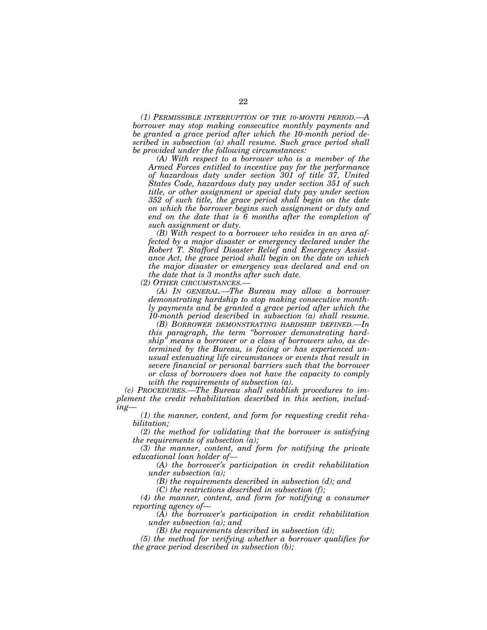*(1) PERMISSIBLE INTERRUPTION OF THE 10-MONTH PERIOD.—A borrower may stop making consecutive monthly payments and be granted a grace period after which the 10-month period described in subsection (a) shall resume. Such grace period shall be provided under the following circumstances:* 

*(A) With respect to a borrower who is a member of the Armed Forces entitled to incentive pay for the performance of hazardous duty under section 301 of title 37, United States Code, hazardous duty pay under section 351 of such title, or other assignment or special duty pay under section 352 of such title, the grace period shall begin on the date on which the borrower begins such assignment or duty and end on the date that is 6 months after the completion of such assignment or duty.* 

*(B) With respect to a borrower who resides in an area affected by a major disaster or emergency declared under the Robert T. Stafford Disaster Relief and Emergency Assistance Act, the grace period shall begin on the date on which the major disaster or emergency was declared and end on the date that is 3 months after such date.* 

*(2) OTHER CIRCUMSTANCES.—* 

*(A) IN GENERAL.—The Bureau may allow a borrower demonstrating hardship to stop making consecutive monthly payments and be granted a grace period after which the 10-month period described in subsection (a) shall resume.* 

*(B) BORROWER DEMONSTRATING HARDSHIP DEFINED.—In this paragraph, the term ''borrower demonstrating hardship'' means a borrower or a class of borrowers who, as determined by the Bureau, is facing or has experienced unusual extenuating life circumstances or events that result in severe financial or personal barriers such that the borrower or class of borrowers does not have the capacity to comply with the requirements of subsection (a).* 

*(c) PROCEDURES.—The Bureau shall establish procedures to implement the credit rehabilitation described in this section, including—* 

*(1) the manner, content, and form for requesting credit rehabilitation;* 

*(2) the method for validating that the borrower is satisfying the requirements of subsection (a);* 

*(3) the manner, content, and form for notifying the private educational loan holder of—* 

*(A) the borrower's participation in credit rehabilitation under subsection (a);* 

*(B) the requirements described in subsection (d); and* 

*(C) the restrictions described in subsection (f);* 

*(4) the manner, content, and form for notifying a consumer reporting agency of—* 

*(A) the borrower's participation in credit rehabilitation under subsection (a); and* 

*(B) the requirements described in subsection (d);* 

*(5) the method for verifying whether a borrower qualifies for the grace period described in subsection (b);*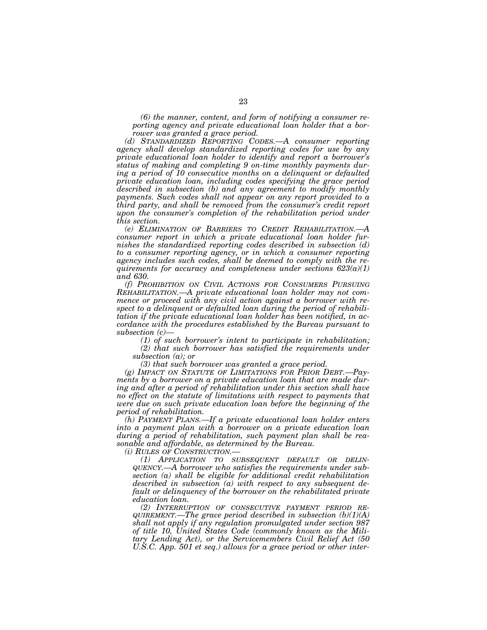*(6) the manner, content, and form of notifying a consumer reporting agency and private educational loan holder that a borrower was granted a grace period.* 

*(d) STANDARDIZED REPORTING CODES.—A consumer reporting agency shall develop standardized reporting codes for use by any private educational loan holder to identify and report a borrower's status of making and completing 9 on-time monthly payments during a period of 10 consecutive months on a delinquent or defaulted private education loan, including codes specifying the grace period described in subsection (b) and any agreement to modify monthly payments. Such codes shall not appear on any report provided to a third party, and shall be removed from the consumer's credit report upon the consumer's completion of the rehabilitation period under this section.* 

*(e) ELIMINATION OF BARRIERS TO CREDIT REHABILITATION.—A consumer report in which a private educational loan holder furnishes the standardized reporting codes described in subsection (d) to a consumer reporting agency, or in which a consumer reporting agency includes such codes, shall be deemed to comply with the requirements for accuracy and completeness under sections 623(a)(1) and 630.* 

*(f) PROHIBITION ON CIVIL ACTIONS FOR CONSUMERS PURSUING REHABILITATION.—A private educational loan holder may not commence or proceed with any civil action against a borrower with respect to a delinquent or defaulted loan during the period of rehabilitation if the private educational loan holder has been notified, in accordance with the procedures established by the Bureau pursuant to subsection (c)—* 

*(1) of such borrower's intent to participate in rehabilitation; (2) that such borrower has satisfied the requirements under subsection (a); or* 

*(3) that such borrower was granted a grace period.* 

*(g) IMPACT ON STATUTE OF LIMITATIONS FOR PRIOR DEBT.—Payments by a borrower on a private education loan that are made during and after a period of rehabilitation under this section shall have no effect on the statute of limitations with respect to payments that were due on such private education loan before the beginning of the period of rehabilitation.* 

*(h) PAYMENT PLANS.—If a private educational loan holder enters into a payment plan with a borrower on a private education loan during a period of rehabilitation, such payment plan shall be reasonable and affordable, as determined by the Bureau.* 

*(i) RULES OF CONSTRUCTION.—* 

*(1) APPLICATION TO SUBSEQUENT DEFAULT OR DELIN-QUENCY.—A borrower who satisfies the requirements under subsection (a) shall be eligible for additional credit rehabilitation described in subsection (a) with respect to any subsequent de*fault or delinquency of the borrower on the rehabilitated private *education loan.* 

*(2) INTERRUPTION OF CONSECUTIVE PAYMENT PERIOD RE- QUIREMENT.—The grace period described in subsection (b)(1)(A) shall not apply if any regulation promulgated under section 987 of title 10, United States Code (commonly known as the Military Lending Act), or the Servicemembers Civil Relief Act (50 U.S.C. App. 501 et seq.) allows for a grace period or other inter-*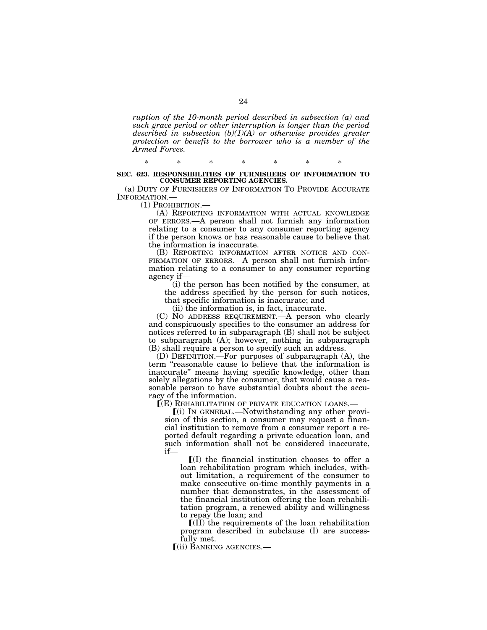*ruption of the 10-month period described in subsection (a) and such grace period or other interruption is longer than the period*  described in subsection (b)(1)(A) or otherwise provides greater *protection or benefit to the borrower who is a member of the Armed Forces.* 

\* \* \* \* \* \* \*

#### **SEC. 623. RESPONSIBILITIES OF FURNISHERS OF INFORMATION TO CONSUMER REPORTING AGENCIES.**

(a) DUTY OF FURNISHERS OF INFORMATION TO PROVIDE ACCURATE INFORMATION.— (1) PROHIBITION.—

(A) REPORTING INFORMATION WITH ACTUAL KNOWLEDGE OF ERRORS.—A person shall not furnish any information relating to a consumer to any consumer reporting agency if the person knows or has reasonable cause to believe that the information is inaccurate.

(B) REPORTING INFORMATION AFTER NOTICE AND CON-FIRMATION OF ERRORS.—A person shall not furnish information relating to a consumer to any consumer reporting agency if—

(i) the person has been notified by the consumer, at the address specified by the person for such notices, that specific information is inaccurate; and

(ii) the information is, in fact, inaccurate.

(C) NO ADDRESS REQUIREMENT.—A person who clearly and conspicuously specifies to the consumer an address for notices referred to in subparagraph (B) shall not be subject to subparagraph (A); however, nothing in subparagraph (B) shall require a person to specify such an address.

(D) DEFINITION.—For purposes of subparagraph (A), the term ''reasonable cause to believe that the information is inaccurate'' means having specific knowledge, other than solely allegations by the consumer, that would cause a reasonable person to have substantial doubts about the accuracy of the information.<br>
[(E) REHABILITATION OF PRIVATE EDUCATION LOANS.—

 $(i)$  In GENERAL.—Notwithstanding any other provision of this section, a consumer may request a financial institution to remove from a consumer report a reported default regarding a private education loan, and such information shall not be considered inaccurate, if—

 $\left[$ (I) the financial institution chooses to offer a loan rehabilitation program which includes, without limitation, a requirement of the consumer to make consecutive on-time monthly payments in a number that demonstrates, in the assessment of the financial institution offering the loan rehabilitation program, a renewed ability and willingness to repay the loan; and

ø(II) the requirements of the loan rehabilitation program described in subclause (I) are successfully met.

ø(ii) BANKING AGENCIES.—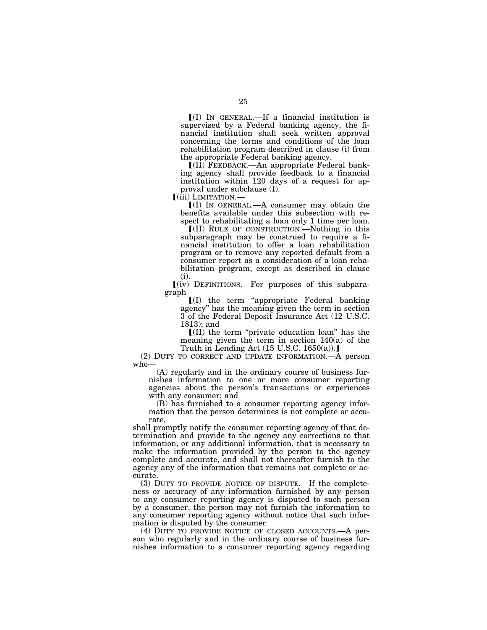$\overline{I}(I)$  In GENERAL.—If a financial institution is supervised by a Federal banking agency, the financial institution shall seek written approval concerning the terms and conditions of the loan rehabilitation program described in clause (i) from the appropriate Federal banking agency.

ø(II) FEEDBACK.—An appropriate Federal banking agency shall provide feedback to a financial institution within 120 days of a request for approval under subclause (I).<br>
[(iii) LIMITATION.—

 $I(I)$  In GENERAL.—A consumer may obtain the benefits available under this subsection with respect to rehabilitating a loan only 1 time per loan.

ø(II) RULE OF CONSTRUCTION.—Nothing in this subparagraph may be construed to require a financial institution to offer a loan rehabilitation program or to remove any reported default from a consumer report as a consideration of a loan rehabilitation program, except as described in clause (i).

 $(iv)$  DEFINITIONS.—For purposes of this subparagraph—

 $I(I)$  the term "appropriate Federal banking" agency'' has the meaning given the term in section 3 of the Federal Deposit Insurance Act (12 U.S.C. 1813); and

 $\left[ \text{(II)} \right]$  the term "private education loan" has the meaning given the term in section 140(a) of the Truth in Lending Act (15 U.S.C. 1650(a)).

(2) DUTY TO CORRECT AND UPDATE INFORMATION.—A person who—

(A) regularly and in the ordinary course of business furnishes information to one or more consumer reporting agencies about the person's transactions or experiences with any consumer; and

(B) has furnished to a consumer reporting agency information that the person determines is not complete or accurate,

shall promptly notify the consumer reporting agency of that determination and provide to the agency any corrections to that information, or any additional information, that is necessary to make the information provided by the person to the agency complete and accurate, and shall not thereafter furnish to the agency any of the information that remains not complete or accurate.

(3) DUTY TO PROVIDE NOTICE OF DISPUTE.—If the completeness or accuracy of any information furnished by any person to any consumer reporting agency is disputed to such person by a consumer, the person may not furnish the information to any consumer reporting agency without notice that such information is disputed by the consumer.

(4) DUTY TO PROVIDE NOTICE OF CLOSED ACCOUNTS.—A person who regularly and in the ordinary course of business furnishes information to a consumer reporting agency regarding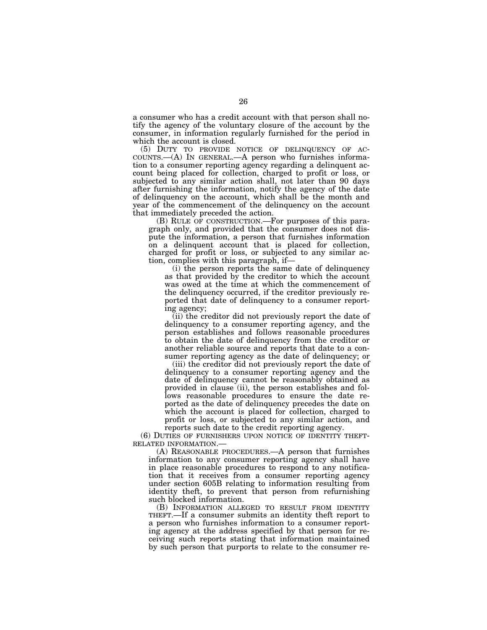a consumer who has a credit account with that person shall notify the agency of the voluntary closure of the account by the consumer, in information regularly furnished for the period in which the account is closed.<br>
(5) DUTY TO PROVIDE NOTICE OF DELINQUENCY OF AC-

 $\text{COUNTS.}(\mathcal{A})$  In GENERAL.—A person who furnishes information to a consumer reporting agency regarding a delinquent account being placed for collection, charged to profit or loss, or subjected to any similar action shall, not later than 90 days after furnishing the information, notify the agency of the date of delinquency on the account, which shall be the month and year of the commencement of the delinquency on the account that immediately preceded the action.

(B) RULE OF CONSTRUCTION.—For purposes of this paragraph only, and provided that the consumer does not dispute the information, a person that furnishes information on a delinquent account that is placed for collection, charged for profit or loss, or subjected to any similar action, complies with this paragraph, if—

(i) the person reports the same date of delinquency as that provided by the creditor to which the account was owed at the time at which the commencement of the delinquency occurred, if the creditor previously reported that date of delinquency to a consumer reporting agency;

(ii) the creditor did not previously report the date of delinquency to a consumer reporting agency, and the person establishes and follows reasonable procedures to obtain the date of delinquency from the creditor or another reliable source and reports that date to a consumer reporting agency as the date of delinquency; or

(iii) the creditor did not previously report the date of delinquency to a consumer reporting agency and the date of delinquency cannot be reasonably obtained as provided in clause (ii), the person establishes and follows reasonable procedures to ensure the date reported as the date of delinquency precedes the date on which the account is placed for collection, charged to profit or loss, or subjected to any similar action, and reports such date to the credit reporting agency.

(6) DUTIES OF FURNISHERS UPON NOTICE OF IDENTITY THEFT-RELATED INFORMATION.—

(A) REASONABLE PROCEDURES.—A person that furnishes information to any consumer reporting agency shall have in place reasonable procedures to respond to any notification that it receives from a consumer reporting agency under section 605B relating to information resulting from identity theft, to prevent that person from refurnishing such blocked information.

(B) INFORMATION ALLEGED TO RESULT FROM IDENTITY THEFT.—If a consumer submits an identity theft report to a person who furnishes information to a consumer reporting agency at the address specified by that person for receiving such reports stating that information maintained by such person that purports to relate to the consumer re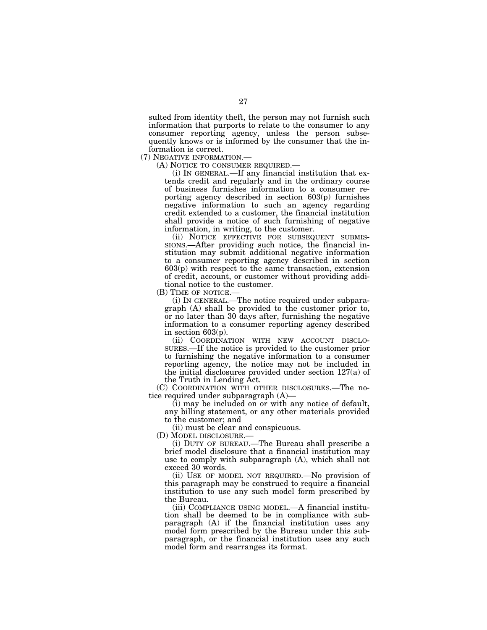sulted from identity theft, the person may not furnish such information that purports to relate to the consumer to any consumer reporting agency, unless the person subsequently knows or is informed by the consumer that the in-

formation is correct.<br>(7) NEGATIVE INFORMATION.

(A) NOTICE TO CONSUMER REQUIRED.—<br>(i) IN GENERAL.—If any financial institution that extends credit and regularly and in the ordinary course of business furnishes information to a consumer reporting agency described in section 603(p) furnishes negative information to such an agency regarding credit extended to a customer, the financial institution shall provide a notice of such furnishing of negative information, in writing, to the customer.

(ii) NOTICE EFFECTIVE FOR SUBSEQUENT SUBMIS-SIONS.—After providing such notice, the financial institution may submit additional negative information to a consumer reporting agency described in section 603(p) with respect to the same transaction, extension of credit, account, or customer without providing additional notice to the customer.<br>(B) TIME OF NOTICE.—

(i) IN GENERAL.—The notice required under subparagraph (A) shall be provided to the customer prior to, or no later than 30 days after, furnishing the negative information to a consumer reporting agency described in section 603(p).

(ii) COORDINATION WITH NEW ACCOUNT DISCLO-SURES.—If the notice is provided to the customer prior to furnishing the negative information to a consumer reporting agency, the notice may not be included in the initial disclosures provided under section 127(a) of the Truth in Lending Act.

(C) COORDINATION WITH OTHER DISCLOSURES.—The notice required under subparagraph (A)—

 $(i)$  may be included on or with any notice of default, any billing statement, or any other materials provided to the customer; and

(ii) must be clear and conspicuous.

(D) MODEL DISCLOSURE.—

(i) DUTY OF BUREAU.—The Bureau shall prescribe a brief model disclosure that a financial institution may use to comply with subparagraph (A), which shall not exceed 30 words.

(ii) USE OF MODEL NOT REQUIRED.—No provision of this paragraph may be construed to require a financial institution to use any such model form prescribed by the Bureau.

(iii) COMPLIANCE USING MODEL.—A financial institution shall be deemed to be in compliance with subparagraph (A) if the financial institution uses any model form prescribed by the Bureau under this subparagraph, or the financial institution uses any such model form and rearranges its format.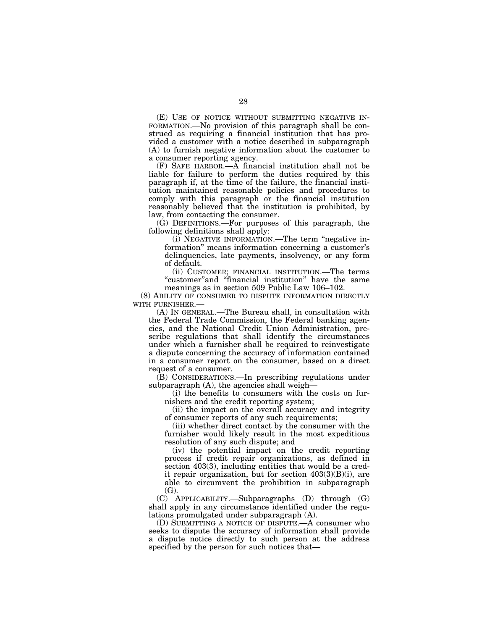(E) USE OF NOTICE WITHOUT SUBMITTING NEGATIVE IN-FORMATION.—No provision of this paragraph shall be construed as requiring a financial institution that has provided a customer with a notice described in subparagraph (A) to furnish negative information about the customer to a consumer reporting agency.

(F) SAFE HARBOR.—A financial institution shall not be liable for failure to perform the duties required by this paragraph if, at the time of the failure, the financial institution maintained reasonable policies and procedures to comply with this paragraph or the financial institution reasonably believed that the institution is prohibited, by law, from contacting the consumer.

(G) DEFINITIONS.—For purposes of this paragraph, the following definitions shall apply:

(i) NEGATIVE INFORMATION.—The term ''negative information'' means information concerning a customer's delinquencies, late payments, insolvency, or any form of default.

(ii) CUSTOMER; FINANCIAL INSTITUTION.—The terms "customer"and "financial institution" have the same meanings as in section 509 Public Law 106–102.

(8) ABILITY OF CONSUMER TO DISPUTE INFORMATION DIRECTLY WITH FURNISHER.—

(A) IN GENERAL.—The Bureau shall, in consultation with the Federal Trade Commission, the Federal banking agencies, and the National Credit Union Administration, prescribe regulations that shall identify the circumstances under which a furnisher shall be required to reinvestigate a dispute concerning the accuracy of information contained in a consumer report on the consumer, based on a direct request of a consumer.

(B) CONSIDERATIONS.—In prescribing regulations under subparagraph (A), the agencies shall weigh-

(i) the benefits to consumers with the costs on furnishers and the credit reporting system;

(ii) the impact on the overall accuracy and integrity of consumer reports of any such requirements;

(iii) whether direct contact by the consumer with the furnisher would likely result in the most expeditious resolution of any such dispute; and

(iv) the potential impact on the credit reporting process if credit repair organizations, as defined in section 403(3), including entities that would be a credit repair organization, but for section  $403(3)(B)(i)$ , are able to circumvent the prohibition in subparagraph  $(G)$ .

(C) APPLICABILITY.—Subparagraphs (D) through (G) shall apply in any circumstance identified under the regulations promulgated under subparagraph (A).

(D) SUBMITTING A NOTICE OF DISPUTE.—A consumer who seeks to dispute the accuracy of information shall provide a dispute notice directly to such person at the address specified by the person for such notices that—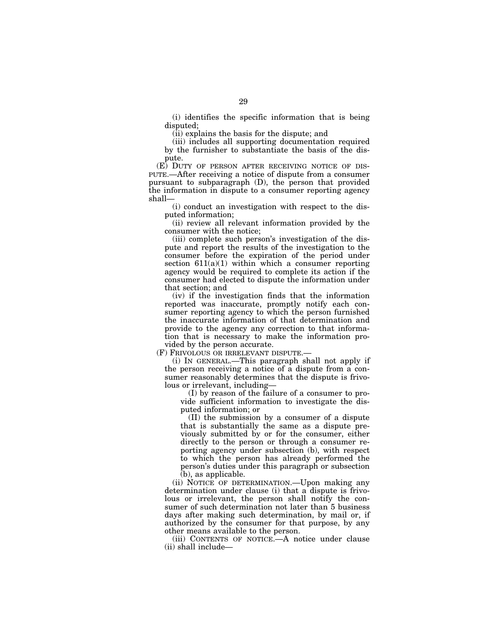(i) identifies the specific information that is being disputed;

(ii) explains the basis for the dispute; and

(iii) includes all supporting documentation required by the furnisher to substantiate the basis of the dispute.

(E) DUTY OF PERSON AFTER RECEIVING NOTICE OF DIS-PUTE.—After receiving a notice of dispute from a consumer pursuant to subparagraph (D), the person that provided the information in dispute to a consumer reporting agency shall—

(i) conduct an investigation with respect to the disputed information;

(ii) review all relevant information provided by the consumer with the notice;

(iii) complete such person's investigation of the dispute and report the results of the investigation to the consumer before the expiration of the period under section 611(a)(1) within which a consumer reporting agency would be required to complete its action if the consumer had elected to dispute the information under that section; and

(iv) if the investigation finds that the information reported was inaccurate, promptly notify each consumer reporting agency to which the person furnished the inaccurate information of that determination and provide to the agency any correction to that information that is necessary to make the information provided by the person accurate.

(F) FRIVOLOUS OR IRRELEVANT DISPUTE.—

(i) IN GENERAL.—This paragraph shall not apply if the person receiving a notice of a dispute from a consumer reasonably determines that the dispute is frivolous or irrelevant, including—

(I) by reason of the failure of a consumer to provide sufficient information to investigate the disputed information; or

(II) the submission by a consumer of a dispute that is substantially the same as a dispute previously submitted by or for the consumer, either directly to the person or through a consumer reporting agency under subsection (b), with respect to which the person has already performed the person's duties under this paragraph or subsection (b), as applicable.

(ii) NOTICE OF DETERMINATION.—Upon making any determination under clause (i) that a dispute is frivolous or irrelevant, the person shall notify the consumer of such determination not later than 5 business days after making such determination, by mail or, if authorized by the consumer for that purpose, by any other means available to the person.

(iii) CONTENTS OF NOTICE.—A notice under clause (ii) shall include—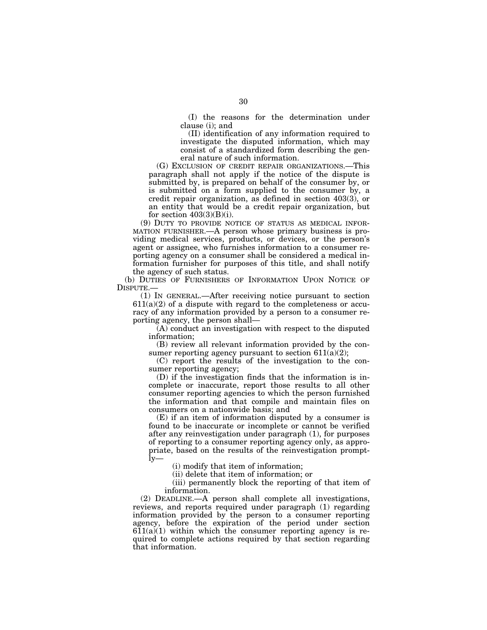(I) the reasons for the determination under clause (i); and

(II) identification of any information required to investigate the disputed information, which may consist of a standardized form describing the general nature of such information.

(G) EXCLUSION OF CREDIT REPAIR ORGANIZATIONS.—This paragraph shall not apply if the notice of the dispute is submitted by, is prepared on behalf of the consumer by, or is submitted on a form supplied to the consumer by, a credit repair organization, as defined in section 403(3), or an entity that would be a credit repair organization, but for section  $403(3)(B)(i)$ .

(9) DUTY TO PROVIDE NOTICE OF STATUS AS MEDICAL INFOR-MATION FURNISHER.—A person whose primary business is providing medical services, products, or devices, or the person's agent or assignee, who furnishes information to a consumer reporting agency on a consumer shall be considered a medical information furnisher for purposes of this title, and shall notify the agency of such status.

(b) DUTIES OF FURNISHERS OF INFORMATION UPON NOTICE OF DISPUTE.—

(1) IN GENERAL.—After receiving notice pursuant to section  $611(a)(2)$  of a dispute with regard to the completeness or accuracy of any information provided by a person to a consumer reporting agency, the person shall—

(A) conduct an investigation with respect to the disputed information;

(B) review all relevant information provided by the consumer reporting agency pursuant to section  $611(a)(2)$ ;

(C) report the results of the investigation to the consumer reporting agency;

(D) if the investigation finds that the information is incomplete or inaccurate, report those results to all other consumer reporting agencies to which the person furnished the information and that compile and maintain files on consumers on a nationwide basis; and

(E) if an item of information disputed by a consumer is found to be inaccurate or incomplete or cannot be verified after any reinvestigation under paragraph (1), for purposes of reporting to a consumer reporting agency only, as appropriate, based on the results of the reinvestigation promptly—

(i) modify that item of information;

(ii) delete that item of information; or

(iii) permanently block the reporting of that item of information.

(2) DEADLINE.—A person shall complete all investigations, reviews, and reports required under paragraph (1) regarding information provided by the person to a consumer reporting agency, before the expiration of the period under section  $611(a)(1)$  within which the consumer reporting agency is required to complete actions required by that section regarding that information.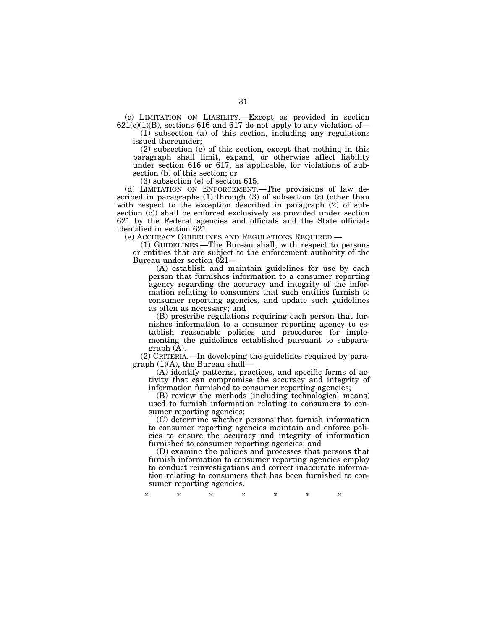(c) LIMITATION ON LIABILITY.—Except as provided in section  $621(c)(1)(B)$ , sections 616 and 617 do not apply to any violation of-

(1) subsection (a) of this section, including any regulations issued thereunder;

(2) subsection (e) of this section, except that nothing in this paragraph shall limit, expand, or otherwise affect liability under section 616 or 617, as applicable, for violations of subsection (b) of this section; or

(3) subsection (e) of section 615.

(d) LIMITATION ON ENFORCEMENT.—The provisions of law described in paragraphs (1) through (3) of subsection (c) (other than with respect to the exception described in paragraph (2) of subsection  $(c)$ ) shall be enforced exclusively as provided under section 621 by the Federal agencies and officials and the State officials identified in section 621.

(e) ACCURACY GUIDELINES AND REGULATIONS REQUIRED.—

(1) GUIDELINES.—The Bureau shall, with respect to persons or entities that are subject to the enforcement authority of the Bureau under section 621—

(A) establish and maintain guidelines for use by each person that furnishes information to a consumer reporting agency regarding the accuracy and integrity of the information relating to consumers that such entities furnish to consumer reporting agencies, and update such guidelines as often as necessary; and

(B) prescribe regulations requiring each person that furnishes information to a consumer reporting agency to establish reasonable policies and procedures for implementing the guidelines established pursuant to subparagraph (A).

 $(2)$  CRITERIA.—In developing the guidelines required by paragraph (1)(A), the Bureau shall—

(A) identify patterns, practices, and specific forms of activity that can compromise the accuracy and integrity of information furnished to consumer reporting agencies;

(B) review the methods (including technological means) used to furnish information relating to consumers to consumer reporting agencies;

(C) determine whether persons that furnish information to consumer reporting agencies maintain and enforce policies to ensure the accuracy and integrity of information furnished to consumer reporting agencies; and

(D) examine the policies and processes that persons that furnish information to consumer reporting agencies employ to conduct reinvestigations and correct inaccurate information relating to consumers that has been furnished to consumer reporting agencies.

\* \* \* \* \* \* \*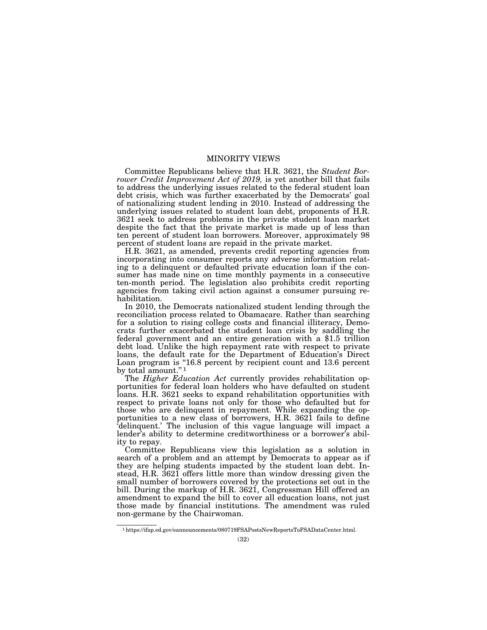## MINORITY VIEWS

Committee Republicans believe that H.R. 3621, the *Student Borrower Credit Improvement Act of 2019,* is yet another bill that fails to address the underlying issues related to the federal student loan debt crisis, which was further exacerbated by the Democrats' goal of nationalizing student lending in 2010. Instead of addressing the underlying issues related to student loan debt, proponents of H.R. 3621 seek to address problems in the private student loan market despite the fact that the private market is made up of less than ten percent of student loan borrowers. Moreover, approximately 98 percent of student loans are repaid in the private market.

H.R. 3621, as amended, prevents credit reporting agencies from incorporating into consumer reports any adverse information relating to a delinquent or defaulted private education loan if the consumer has made nine on time monthly payments in a consecutive ten-month period. The legislation also prohibits credit reporting agencies from taking civil action against a consumer pursuing rehabilitation.

In 2010, the Democrats nationalized student lending through the reconciliation process related to Obamacare. Rather than searching for a solution to rising college costs and financial illiteracy, Democrats further exacerbated the student loan crisis by saddling the federal government and an entire generation with a \$1.5 trillion debt load. Unlike the high repayment rate with respect to private loans, the default rate for the Department of Education's Direct Loan program is "16.8 percent by recipient count and 13.6 percent by total amount."<sup>1</sup>

The *Higher Education Act* currently provides rehabilitation opportunities for federal loan holders who have defaulted on student loans. H.R. 3621 seeks to expand rehabilitation opportunities with respect to private loans not only for those who defaulted but for those who are delinquent in repayment. While expanding the opportunities to a new class of borrowers, H.R. 3621 fails to define 'delinquent.' The inclusion of this vague language will impact a lender's ability to determine creditworthiness or a borrower's ability to repay.

Committee Republicans view this legislation as a solution in search of a problem and an attempt by Democrats to appear as if they are helping students impacted by the student loan debt. Instead, H.R. 3621 offers little more than window dressing given the small number of borrowers covered by the protections set out in the bill. During the markup of H.R. 3621, Congressman Hill offered an amendment to expand the bill to cover all education loans, not just those made by financial institutions. The amendment was ruled non-germane by the Chairwoman.

<sup>1</sup>https://ifap.ed.gov/eannouncements/080719FSAPostsNewReportsToFSADataCenter.html.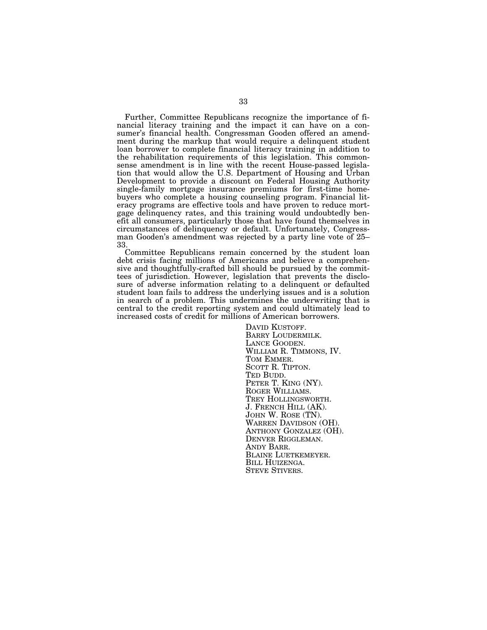Further, Committee Republicans recognize the importance of financial literacy training and the impact it can have on a consumer's financial health. Congressman Gooden offered an amendment during the markup that would require a delinquent student loan borrower to complete financial literacy training in addition to the rehabilitation requirements of this legislation. This commonsense amendment is in line with the recent House-passed legislation that would allow the U.S. Department of Housing and Urban Development to provide a discount on Federal Housing Authority single-family mortgage insurance premiums for first-time homebuyers who complete a housing counseling program. Financial literacy programs are effective tools and have proven to reduce mortgage delinquency rates, and this training would undoubtedly benefit all consumers, particularly those that have found themselves in circumstances of delinquency or default. Unfortunately, Congressman Gooden's amendment was rejected by a party line vote of 25– 33.

Committee Republicans remain concerned by the student loan debt crisis facing millions of Americans and believe a comprehensive and thoughtfully-crafted bill should be pursued by the committees of jurisdiction. However, legislation that prevents the disclosure of adverse information relating to a delinquent or defaulted student loan fails to address the underlying issues and is a solution in search of a problem. This undermines the underwriting that is central to the credit reporting system and could ultimately lead to increased costs of credit for millions of American borrowers.

> DAVID KUSTOFF. BARRY LOUDERMILK. LANCE GOODEN. WILLIAM R. TIMMONS, IV. TOM EMMER. SCOTT R. TIPTON. TED BUDD. PETER T. KING (NY). ROGER WILLIAMS. TREY HOLLINGSWORTH. J. FRENCH HILL (AK). JOHN W. ROSE (TN). WARREN DAVIDSON (OH). ANTHONY GONZALEZ (OH). DENVER RIGGLEMAN. ANDY BARR. BLAINE LUETKEMEYER. BILL HUIZENGA. STEVE STIVERS.